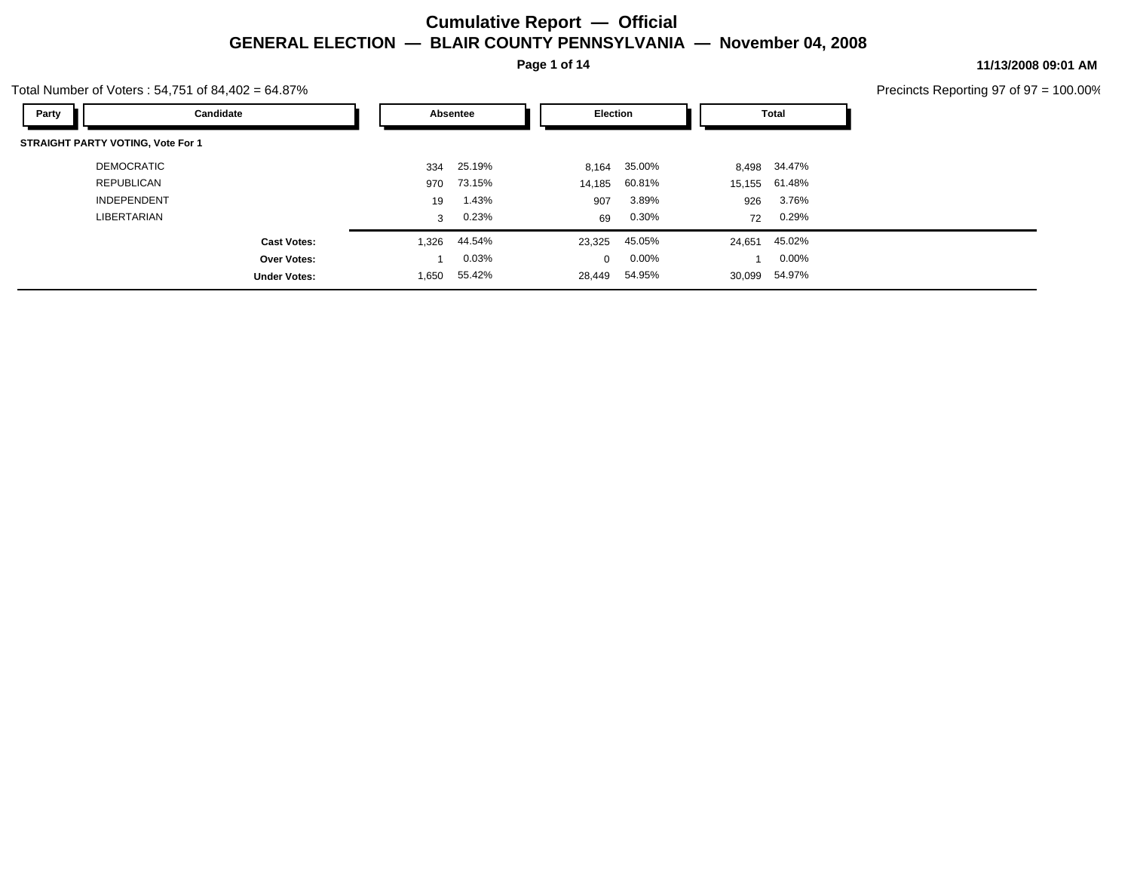**Page 1 of 14**

#### Total Number of Voters : 54,751 of 84,402 = 64.87%

**11/13/2008 09:01 AM**

| Party<br>Candidate                       |              | Absentee | <b>Election</b> |              |        | <b>Total</b>  |
|------------------------------------------|--------------|----------|-----------------|--------------|--------|---------------|
| <b>STRAIGHT PARTY VOTING, Vote For 1</b> |              |          |                 |              |        |               |
| DEMOCRATIC                               | 334          | 25.19%   |                 | 8,164 35.00% | 8,498  | 34.47%        |
| <b>REPUBLICAN</b>                        | 970          | 73.15%   | 14,185          | 60.81%       |        | 15,155 61.48% |
| <b>INDEPENDENT</b>                       | 19           | 1.43%    | 907             | 3.89%        | 926    | 3.76%         |
| <b>LIBERTARIAN</b>                       | $\mathbf{3}$ | 0.23%    | 69              | 0.30%        | 72     | 0.29%         |
| <b>Cast Votes:</b>                       | 1,326        | 44.54%   | 23,325          | 45.05%       | 24,651 | 45.02%        |
| <b>Over Votes:</b>                       |              | 0.03%    | $\Omega$        | $0.00\%$     |        | $0.00\%$      |
| <b>Under Votes:</b>                      | 1,650        | 55.42%   | 28,449          | 54.95%       | 30,099 | 54.97%        |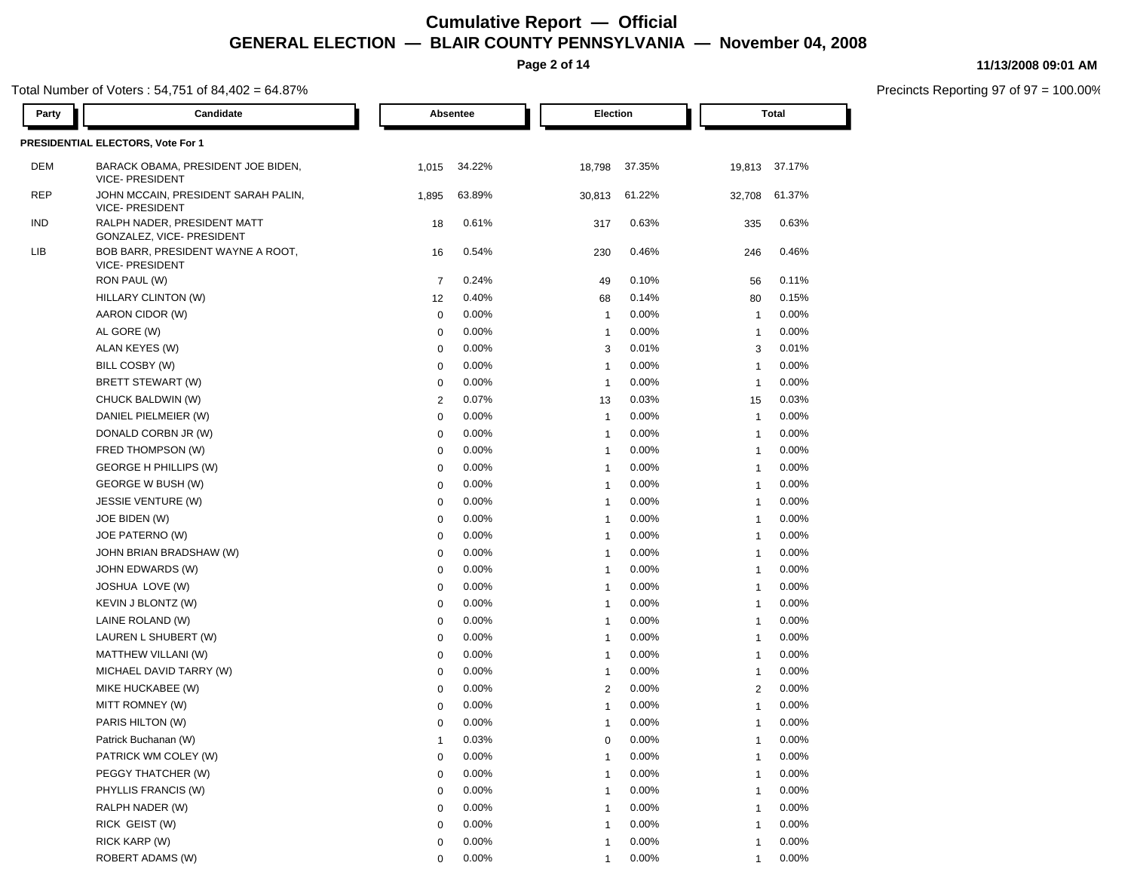**Page 2 of 14**

#### Total Number of Voters : 54,751 of 84,402 = 64.87%

| Party      | Candidate                                                     |                | Absentee |                | Election | Total          |               |  |
|------------|---------------------------------------------------------------|----------------|----------|----------------|----------|----------------|---------------|--|
|            | PRESIDENTIAL ELECTORS, Vote For 1                             |                |          |                |          |                |               |  |
| DEM        | BARACK OBAMA, PRESIDENT JOE BIDEN,<br><b>VICE- PRESIDENT</b>  | 1,015          | 34.22%   | 18,798         | 37.35%   |                | 19,813 37.17% |  |
| <b>REP</b> | JOHN MCCAIN, PRESIDENT SARAH PALIN,<br><b>VICE- PRESIDENT</b> | 1,895          | 63.89%   | 30,813         | 61.22%   | 32,708         | 61.37%        |  |
| <b>IND</b> | RALPH NADER, PRESIDENT MATT<br>GONZALEZ, VICE- PRESIDENT      | 18             | 0.61%    | 317            | 0.63%    | 335            | 0.63%         |  |
| LIB        | BOB BARR, PRESIDENT WAYNE A ROOT,<br><b>VICE- PRESIDENT</b>   | 16             | 0.54%    | 230            | 0.46%    | 246            | 0.46%         |  |
|            | RON PAUL (W)                                                  | $\overline{7}$ | 0.24%    | 49             | 0.10%    | 56             | 0.11%         |  |
|            | HILLARY CLINTON (W)                                           | 12             | 0.40%    | 68             | 0.14%    | 80             | 0.15%         |  |
|            | AARON CIDOR (W)                                               | $\mathbf 0$    | 0.00%    | $\overline{1}$ | 0.00%    | $\overline{1}$ | 0.00%         |  |
|            | AL GORE (W)                                                   | $\mathbf 0$    | 0.00%    | $\mathbf{1}$   | 0.00%    | $\overline{1}$ | 0.00%         |  |
|            | ALAN KEYES (W)                                                | $\mathbf 0$    | 0.00%    | 3              | 0.01%    | 3              | 0.01%         |  |
|            | BILL COSBY (W)                                                | 0              | 0.00%    | $\mathbf{1}$   | 0.00%    | $\overline{1}$ | 0.00%         |  |
|            | BRETT STEWART (W)                                             | 0              | 0.00%    | $\overline{1}$ | 0.00%    | $\overline{1}$ | 0.00%         |  |
|            | CHUCK BALDWIN (W)                                             | $\overline{2}$ | 0.07%    | 13             | 0.03%    | 15             | 0.03%         |  |
|            | DANIEL PIELMEIER (W)                                          | 0              | 0.00%    | $\overline{1}$ | 0.00%    | $\overline{1}$ | 0.00%         |  |
|            | DONALD CORBN JR (W)                                           | 0              | 0.00%    | $\mathbf 1$    | 0.00%    | $\overline{1}$ | 0.00%         |  |
|            | FRED THOMPSON (W)                                             | 0              | 0.00%    | $\mathbf{1}$   | 0.00%    | $\overline{1}$ | 0.00%         |  |
|            | <b>GEORGE H PHILLIPS (W)</b>                                  | 0              | 0.00%    | $\mathbf{1}$   | 0.00%    | $\overline{1}$ | 0.00%         |  |
|            | GEORGE W BUSH (W)                                             | 0              | 0.00%    | $\mathbf 1$    | 0.00%    | $\mathbf 1$    | 0.00%         |  |
|            | JESSIE VENTURE (W)                                            | 0              | 0.00%    | $\mathbf 1$    | 0.00%    | -1             | 0.00%         |  |
|            | JOE BIDEN (W)                                                 | 0              | 0.00%    | -1             | 0.00%    | $\overline{1}$ | 0.00%         |  |
|            | JOE PATERNO (W)                                               | 0              | 0.00%    | -1             | 0.00%    | $\overline{1}$ | 0.00%         |  |
|            | JOHN BRIAN BRADSHAW (W)                                       | 0              | 0.00%    | -1             | 0.00%    | $\mathbf 1$    | 0.00%         |  |
|            | JOHN EDWARDS (W)                                              | $\mathbf 0$    | 0.00%    | -1             | 0.00%    | $\mathbf 1$    | 0.00%         |  |
|            | JOSHUA LOVE (W)                                               | 0              | 0.00%    | -1             | 0.00%    | $\overline{1}$ | 0.00%         |  |
|            | KEVIN J BLONTZ (W)                                            | $\mathbf 0$    | 0.00%    | $\mathbf{1}$   | 0.00%    | $\overline{1}$ | 0.00%         |  |
|            | LAINE ROLAND (W)                                              | 0              | 0.00%    | $\mathbf{1}$   | 0.00%    | $\mathbf 1$    | 0.00%         |  |
|            | LAUREN L SHUBERT (W)                                          | 0              | 0.00%    | $\mathbf{1}$   | 0.00%    | $\mathbf{1}$   | 0.00%         |  |
|            | MATTHEW VILLANI (W)                                           | 0              | 0.00%    | $\mathbf{1}$   | 0.00%    | $\overline{1}$ | 0.00%         |  |
|            | MICHAEL DAVID TARRY (W)                                       | 0              | 0.00%    | $\mathbf{1}$   | $0.00\%$ | $\mathbf 1$    | 0.00%         |  |
|            | MIKE HUCKABEE (W)                                             | 0              | 0.00%    | 2              | 0.00%    | 2              | 0.00%         |  |
|            | MITT ROMNEY (W)                                               | 0              | 0.00%    | -1             | 0.00%    | -1             | 0.00%         |  |
|            | PARIS HILTON (W)                                              | 0              | 0.00%    | -1             | 0.00%    | $\overline{1}$ | 0.00%         |  |
|            | Patrick Buchanan (W)                                          | $\overline{1}$ | 0.03%    | 0              | 0.00%    | -1             | 0.00%         |  |
|            | PATRICK WM COLEY (W)                                          | $\mathbf 0$    | 0.00%    | 1              | 0.00%    | 1              | 0.00%         |  |
|            | PEGGY THATCHER (W)                                            | $\mathbf 0$    | 0.00%    |                | 0.00%    |                | 0.00%         |  |
|            | PHYLLIS FRANCIS (W)                                           | 0              | 0.00%    | 1              | 0.00%    | 1              | 0.00%         |  |
|            | RALPH NADER (W)                                               | $\mathbf 0$    | 0.00%    | 1              | 0.00%    | 1              | 0.00%         |  |
|            | RICK GEIST (W)                                                | 0              | 0.00%    | 1              | 0.00%    | 1              | 0.00%         |  |
|            | RICK KARP (W)                                                 | 0              | 0.00%    | 1              | 0.00%    | $\overline{1}$ | 0.00%         |  |
|            | ROBERT ADAMS (W)                                              | $\Omega$       | 0.00%    | 1              | 0.00%    | 1              | 0.00%         |  |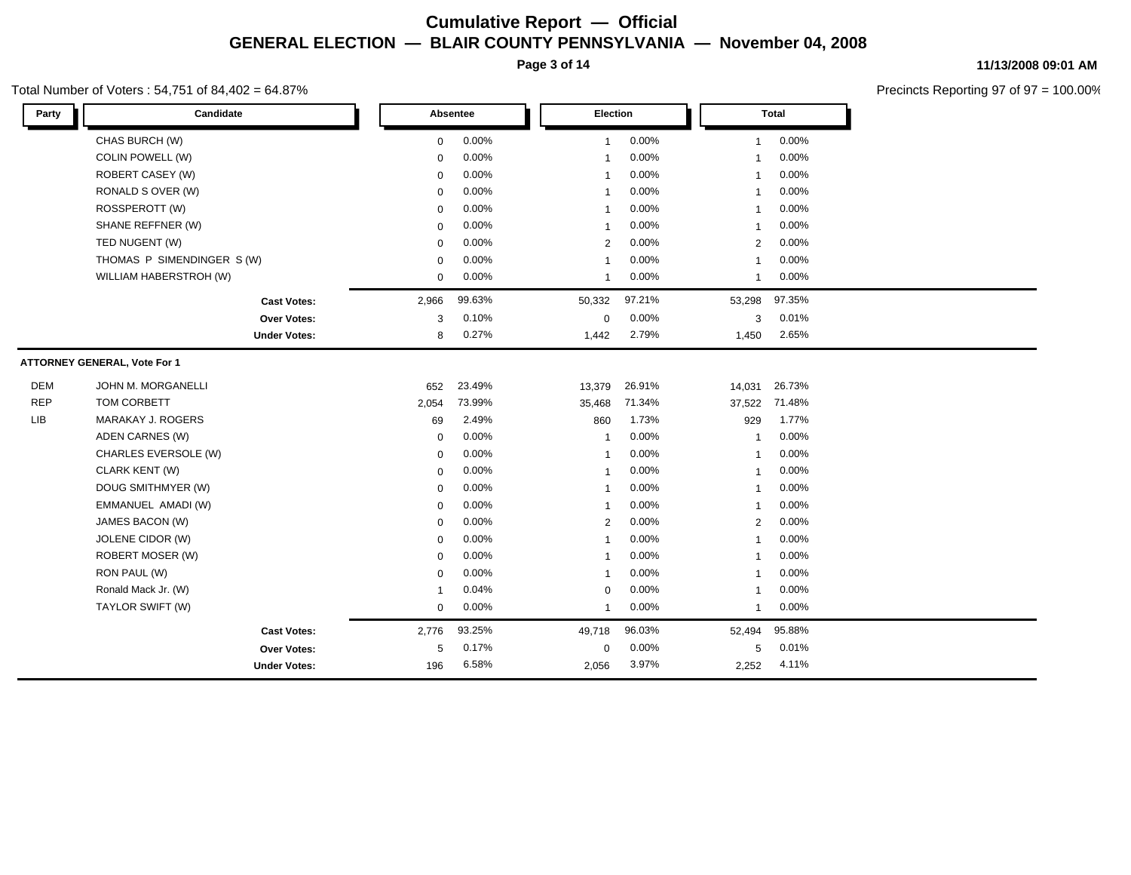**Page 3 of 14**

#### Total Number of Voters : 54,751 of 84,402 = 64.87%

**11/13/2008 09:01 AM**

| Party      | Candidate                           |                     |             | Absentee |  | Election       |        |                |        |  |  |  | <b>Total</b> |  |
|------------|-------------------------------------|---------------------|-------------|----------|--|----------------|--------|----------------|--------|--|--|--|--------------|--|
|            | CHAS BURCH (W)                      |                     | $\mathsf 0$ | 0.00%    |  | $\mathbf{1}$   | 0.00%  | $\overline{1}$ | 0.00%  |  |  |  |              |  |
|            | <b>COLIN POWELL (W)</b>             |                     | $\Omega$    | 0.00%    |  | $\mathbf 1$    | 0.00%  | -1             | 0.00%  |  |  |  |              |  |
|            | ROBERT CASEY (W)                    |                     | $\mathbf 0$ | 0.00%    |  | $\mathbf{1}$   | 0.00%  | $\overline{1}$ | 0.00%  |  |  |  |              |  |
|            | RONALD S OVER (W)                   |                     | $\mathbf 0$ | 0.00%    |  | $\mathbf{1}$   | 0.00%  | $\overline{1}$ | 0.00%  |  |  |  |              |  |
|            | ROSSPEROTT (W)                      |                     | $\Omega$    | 0.00%    |  | $\mathbf{1}$   | 0.00%  | $\overline{1}$ | 0.00%  |  |  |  |              |  |
|            | SHANE REFFNER (W)                   |                     | 0           | 0.00%    |  | $\mathbf{1}$   | 0.00%  | $\overline{1}$ | 0.00%  |  |  |  |              |  |
|            | TED NUGENT (W)                      |                     | $\Omega$    | 0.00%    |  | 2              | 0.00%  | 2              | 0.00%  |  |  |  |              |  |
|            | THOMAS P SIMENDINGER S (W)          |                     | 0           | 0.00%    |  | $\mathbf{1}$   | 0.00%  | $\overline{1}$ | 0.00%  |  |  |  |              |  |
|            | WILLIAM HABERSTROH (W)              |                     | 0           | 0.00%    |  | $\mathbf{1}$   | 0.00%  | $\overline{1}$ | 0.00%  |  |  |  |              |  |
|            |                                     | <b>Cast Votes:</b>  | 2,966       | 99.63%   |  | 50,332         | 97.21% | 53,298         | 97.35% |  |  |  |              |  |
|            |                                     | <b>Over Votes:</b>  | 3           | 0.10%    |  | 0              | 0.00%  | 3              | 0.01%  |  |  |  |              |  |
|            |                                     | <b>Under Votes:</b> | 8           | 0.27%    |  | 1,442          | 2.79%  | 1,450          | 2.65%  |  |  |  |              |  |
|            | <b>ATTORNEY GENERAL, Vote For 1</b> |                     |             |          |  |                |        |                |        |  |  |  |              |  |
| <b>DEM</b> | JOHN M. MORGANELLI                  |                     | 652         | 23.49%   |  | 13,379         | 26.91% | 14,031         | 26.73% |  |  |  |              |  |
| <b>REP</b> | TOM CORBETT                         |                     | 2,054       | 73.99%   |  | 35,468         | 71.34% | 37,522         | 71.48% |  |  |  |              |  |
| <b>LIB</b> | MARAKAY J. ROGERS                   |                     | 69          | 2.49%    |  | 860            | 1.73%  | 929            | 1.77%  |  |  |  |              |  |
|            | ADEN CARNES (W)                     |                     | $\mathbf 0$ | 0.00%    |  | $\overline{1}$ | 0.00%  | $\overline{1}$ | 0.00%  |  |  |  |              |  |
|            | CHARLES EVERSOLE (W)                |                     | $\mathbf 0$ | 0.00%    |  | $\mathbf{1}$   | 0.00%  | $\mathbf{1}$   | 0.00%  |  |  |  |              |  |
|            | CLARK KENT (W)                      |                     | 0           | 0.00%    |  | $\mathbf{1}$   | 0.00%  | $\overline{1}$ | 0.00%  |  |  |  |              |  |
|            | DOUG SMITHMYER (W)                  |                     | $\Omega$    | 0.00%    |  | $\mathbf{1}$   | 0.00%  | $\overline{1}$ | 0.00%  |  |  |  |              |  |
|            | EMMANUEL AMADI (W)                  |                     | $\Omega$    | 0.00%    |  | $\mathbf{1}$   | 0.00%  | $\mathbf{1}$   | 0.00%  |  |  |  |              |  |
|            | JAMES BACON (W)                     |                     | $\mathbf 0$ | 0.00%    |  | 2              | 0.00%  | 2              | 0.00%  |  |  |  |              |  |
|            | JOLENE CIDOR (W)                    |                     | $\mathbf 0$ | 0.00%    |  | $\mathbf{1}$   | 0.00%  | $\overline{1}$ | 0.00%  |  |  |  |              |  |
|            | ROBERT MOSER (W)                    |                     | $\mathbf 0$ | 0.00%    |  | $\mathbf{1}$   | 0.00%  | $\overline{1}$ | 0.00%  |  |  |  |              |  |
|            | RON PAUL (W)                        |                     | $\Omega$    | 0.00%    |  | 1              | 0.00%  | $\mathbf{1}$   | 0.00%  |  |  |  |              |  |
|            | Ronald Mack Jr. (W)                 |                     | -1          | 0.04%    |  | $\mathbf 0$    | 0.00%  | $\overline{1}$ | 0.00%  |  |  |  |              |  |
|            | TAYLOR SWIFT (W)                    |                     | $\mathbf 0$ | 0.00%    |  | $\mathbf{1}$   | 0.00%  | $\mathbf{1}$   | 0.00%  |  |  |  |              |  |
|            |                                     | <b>Cast Votes:</b>  | 2,776       | 93.25%   |  | 49,718         | 96.03% | 52,494         | 95.88% |  |  |  |              |  |
|            |                                     | <b>Over Votes:</b>  | 5           | 0.17%    |  | 0              | 0.00%  | 5              | 0.01%  |  |  |  |              |  |
|            |                                     | <b>Under Votes:</b> | 196         | 6.58%    |  | 2,056          | 3.97%  | 2,252          | 4.11%  |  |  |  |              |  |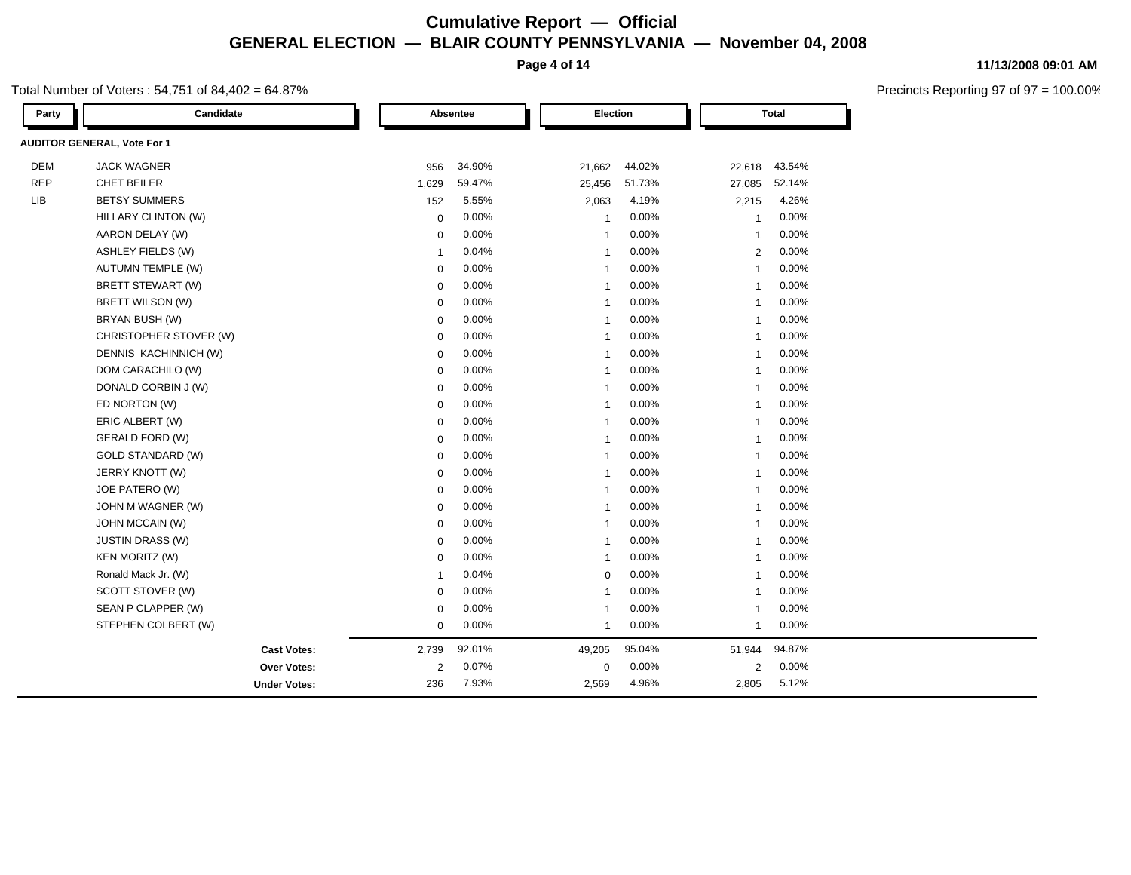**Page 4 of 14**

#### Total Number of Voters : 54,751 of 84,402 = 64.87%

| 11/13/2008 09:01 AM |  |
|---------------------|--|
|                     |  |

| Party      | Candidate                          |             | Absentee | Election       |        |                | <b>Total</b> |  |
|------------|------------------------------------|-------------|----------|----------------|--------|----------------|--------------|--|
|            | <b>AUDITOR GENERAL, Vote For 1</b> |             |          |                |        |                |              |  |
| <b>DEM</b> | <b>JACK WAGNER</b>                 | 956         | 34.90%   | 21,662         | 44.02% | 22,618         | 43.54%       |  |
| <b>REP</b> | CHET BEILER                        | 1,629       | 59.47%   | 25,456         | 51.73% | 27,085         | 52.14%       |  |
| <b>LIB</b> | <b>BETSY SUMMERS</b>               | 152         | 5.55%    | 2,063          | 4.19%  | 2,215          | 4.26%        |  |
|            | HILLARY CLINTON (W)                | $\mathbf 0$ | 0.00%    | $\overline{1}$ | 0.00%  | $\mathbf{1}$   | 0.00%        |  |
|            | AARON DELAY (W)                    | 0           | 0.00%    | $\overline{1}$ | 0.00%  | $\overline{1}$ | 0.00%        |  |
|            | <b>ASHLEY FIELDS (W)</b>           | $\mathbf 1$ | 0.04%    | $\overline{1}$ | 0.00%  | 2              | 0.00%        |  |
|            | <b>AUTUMN TEMPLE (W)</b>           | 0           | 0.00%    | $\overline{1}$ | 0.00%  | -1             | 0.00%        |  |
|            | BRETT STEWART (W)                  | 0           | 0.00%    | $\overline{1}$ | 0.00%  | -1             | 0.00%        |  |
|            | BRETT WILSON (W)                   | 0           | 0.00%    | $\overline{1}$ | 0.00%  | $\overline{1}$ | 0.00%        |  |
|            | BRYAN BUSH (W)                     | 0           | 0.00%    | $\overline{1}$ | 0.00%  | -1             | 0.00%        |  |
|            | CHRISTOPHER STOVER (W)             | 0           | 0.00%    | $\overline{1}$ | 0.00%  | -1             | 0.00%        |  |
|            | DENNIS KACHINNICH (W)              | 0           | 0.00%    | $\overline{1}$ | 0.00%  |                | 0.00%        |  |
|            | DOM CARACHILO (W)                  | 0           | 0.00%    | $\overline{1}$ | 0.00%  | -1             | 0.00%        |  |
|            | DONALD CORBIN J (W)                | 0           | 0.00%    | $\mathbf{1}$   | 0.00%  | -1             | 0.00%        |  |
|            | ED NORTON (W)                      | 0           | 0.00%    | $\mathbf{1}$   | 0.00%  | -1             | 0.00%        |  |
|            | ERIC ALBERT (W)                    | 0           | 0.00%    | $\overline{1}$ | 0.00%  |                | 0.00%        |  |
|            | <b>GERALD FORD (W)</b>             | 0           | 0.00%    | $\overline{1}$ | 0.00%  | -1             | 0.00%        |  |
|            | <b>GOLD STANDARD (W)</b>           | 0           | 0.00%    | $\overline{1}$ | 0.00%  | $\mathbf{1}$   | 0.00%        |  |
|            | JERRY KNOTT (W)                    | $\mathbf 0$ | 0.00%    | $\overline{1}$ | 0.00%  | $\mathbf{1}$   | 0.00%        |  |
|            | JOE PATERO (W)                     | 0           | 0.00%    | $\mathbf{1}$   | 0.00%  | $\mathbf{1}$   | 0.00%        |  |
|            | JOHN M WAGNER (W)                  | 0           | 0.00%    | $\overline{1}$ | 0.00%  | -1             | 0.00%        |  |
|            | JOHN MCCAIN (W)                    | 0           | 0.00%    | $\overline{1}$ | 0.00%  | -1             | 0.00%        |  |
|            | <b>JUSTIN DRASS (W)</b>            | 0           | 0.00%    | $\mathbf{1}$   | 0.00%  | -1             | 0.00%        |  |
|            | <b>KEN MORITZ (W)</b>              | $\mathbf 0$ | 0.00%    | $\overline{1}$ | 0.00%  | -1             | 0.00%        |  |
|            | Ronald Mack Jr. (W)                | 1           | 0.04%    | $\mathbf 0$    | 0.00%  | -1             | 0.00%        |  |
|            | SCOTT STOVER (W)                   | $\mathbf 0$ | 0.00%    | $\overline{1}$ | 0.00%  | -1             | 0.00%        |  |
|            | SEAN P CLAPPER (W)                 | 0           | 0.00%    | $\overline{1}$ | 0.00%  | -1             | 0.00%        |  |
|            | STEPHEN COLBERT (W)                | 0           | 0.00%    | $\overline{1}$ | 0.00%  | -1             | 0.00%        |  |
|            | <b>Cast Votes:</b>                 | 2,739       | 92.01%   | 49,205         | 95.04% | 51,944         | 94.87%       |  |
|            | Over Votes:                        | 2           | 0.07%    | 0              | 0.00%  | $\overline{2}$ | 0.00%        |  |
|            | <b>Under Votes:</b>                | 236         | 7.93%    | 2,569          | 4.96%  | 2,805          | 5.12%        |  |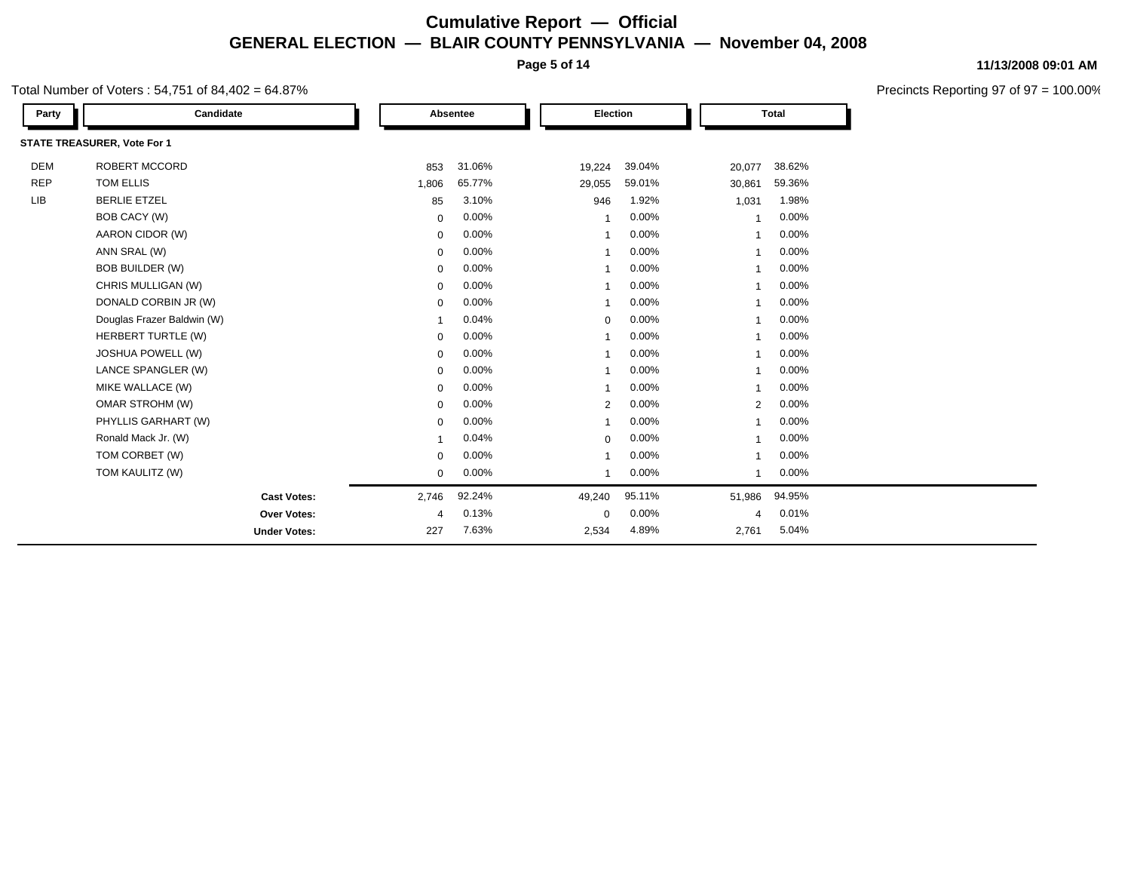**Page 5 of 14**

#### Total Number of Voters : 54,751 of 84,402 = 64.87%

| Party      | Candidate                   |             | Absentee |  | Election       |        |                | <b>Total</b>            |  |
|------------|-----------------------------|-------------|----------|--|----------------|--------|----------------|-------------------------|--|
|            | STATE TREASURER, Vote For 1 |             |          |  |                |        |                |                         |  |
| <b>DEM</b> | ROBERT MCCORD               | 853         | 31.06%   |  | 19,224         | 39.04% | 20,077         | 38.62%                  |  |
| <b>REP</b> | TOM ELLIS                   | 1,806       | 65.77%   |  | 29,055         | 59.01% | 30,861         | 59.36%                  |  |
| <b>LIB</b> | <b>BERLIE ETZEL</b>         | 85          | 3.10%    |  | 946            | 1.92%  | 1,031          | 1.98%                   |  |
|            | BOB CACY (W)                | $\mathbf 0$ | 0.00%    |  | 1              | 0.00%  | 1              | 0.00%                   |  |
|            | AARON CIDOR (W)             | $\mathbf 0$ | 0.00%    |  | $\mathbf{1}$   | 0.00%  | 1              | 0.00%                   |  |
|            | ANN SRAL (W)                | 0           | 0.00%    |  | $\mathbf{1}$   | 0.00%  | $\mathbf{1}$   | 0.00%                   |  |
|            | <b>BOB BUILDER (W)</b>      | $\mathbf 0$ | 0.00%    |  | 1              | 0.00%  | -1             | 0.00%                   |  |
|            | CHRIS MULLIGAN (W)          | 0           | 0.00%    |  | 1              | 0.00%  | 1              | 0.00%                   |  |
|            | DONALD CORBIN JR (W)        | $\mathbf 0$ | 0.00%    |  | 1              | 0.00%  | 1              | 0.00%                   |  |
|            | Douglas Frazer Baldwin (W)  | 1           | 0.04%    |  | $\mathbf 0$    | 0.00%  | 1              | 0.00%                   |  |
|            | HERBERT TURTLE (W)          | 0           | 0.00%    |  | 1              | 0.00%  | 1              | 0.00%                   |  |
|            | JOSHUA POWELL (W)           | $\mathbf 0$ | 0.00%    |  | $\mathbf{1}$   | 0.00%  | $\mathbf{1}$   | 0.00%                   |  |
|            | LANCE SPANGLER (W)          | 0           | 0.00%    |  | 1              | 0.00%  | $\mathbf{1}$   | 0.00%                   |  |
|            | MIKE WALLACE (W)            | 0           | 0.00%    |  | 1              | 0.00%  | 1              | 0.00%                   |  |
|            | OMAR STROHM (W)             | 0           | 0.00%    |  | $\overline{2}$ | 0.00%  |                | 0.00%<br>$\overline{2}$ |  |
|            | PHYLLIS GARHART (W)         | $\mathbf 0$ | 0.00%    |  | 1              | 0.00%  | $\mathbf{1}$   | 0.00%                   |  |
|            | Ronald Mack Jr. (W)         | 1           | 0.04%    |  | $\mathbf 0$    | 0.00%  | 1              | 0.00%                   |  |
|            | TOM CORBET (W)              | $\mathbf 0$ | 0.00%    |  | $\mathbf{1}$   | 0.00%  | 1              | 0.00%                   |  |
|            | TOM KAULITZ (W)             | 0           | 0.00%    |  | $\mathbf{1}$   | 0.00%  | 1              | 0.00%                   |  |
|            | <b>Cast Votes:</b>          | 2,746       | 92.24%   |  | 49,240         | 95.11% | 51,986         | 94.95%                  |  |
|            | Over Votes:                 | 4           | 0.13%    |  | $\mathbf 0$    | 0.00%  | $\overline{4}$ | 0.01%                   |  |
|            | <b>Under Votes:</b>         | 227         | 7.63%    |  | 2,534          | 4.89%  | 2,761          | 5.04%                   |  |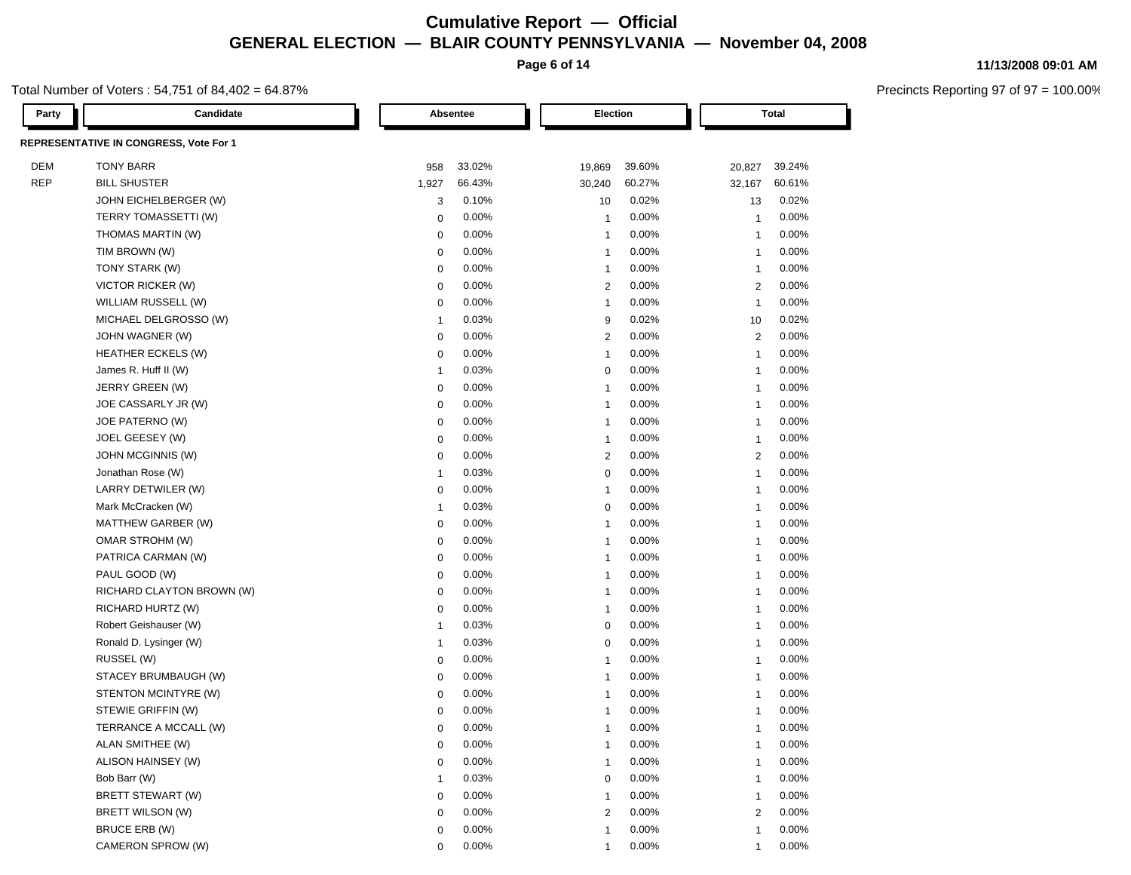**Page 6 of 14**

#### Total Number of Voters : 54,751 of 84,402 = 64.87%

| Party      | Candidate                              |                  | Absentee |                         | Election |                | <b>Total</b> |  |
|------------|----------------------------------------|------------------|----------|-------------------------|----------|----------------|--------------|--|
|            | REPRESENTATIVE IN CONGRESS, Vote For 1 |                  |          |                         |          |                |              |  |
| <b>DEM</b> | <b>TONY BARR</b>                       | 958              | 33.02%   | 19,869                  | 39.60%   | 20,827         | 39.24%       |  |
| <b>REP</b> | <b>BILL SHUSTER</b>                    | 1,927            | 66.43%   | 30,240                  | 60.27%   | 32,167         | 60.61%       |  |
|            | JOHN EICHELBERGER (W)                  | 3                | 0.10%    | 10                      | 0.02%    | 13             | 0.02%        |  |
|            | TERRY TOMASSETTI (W)                   | $\mathbf 0$      | 0.00%    | $\overline{1}$          | 0.00%    | $\mathbf{1}$   | 0.00%        |  |
|            | THOMAS MARTIN (W)                      | $\mathbf 0$      | 0.00%    | $\mathbf{1}$            | 0.00%    | $\mathbf{1}$   | 0.00%        |  |
|            | TIM BROWN (W)                          | $\mathbf 0$      | 0.00%    | $\overline{1}$          | 0.00%    | $\overline{1}$ | 0.00%        |  |
|            | TONY STARK (W)                         | $\mathbf 0$      | 0.00%    | $\overline{1}$          | 0.00%    | $\overline{1}$ | 0.00%        |  |
|            | <b>VICTOR RICKER (W)</b>               | $\mathbf 0$      | 0.00%    | $\overline{2}$          | 0.00%    | 2              | 0.00%        |  |
|            | WILLIAM RUSSELL (W)                    | $\Omega$         | 0.00%    | $\overline{1}$          | 0.00%    | $\overline{1}$ | 0.00%        |  |
|            | MICHAEL DELGROSSO (W)                  | $\mathbf{1}$     | 0.03%    | 9                       | 0.02%    | 10             | 0.02%        |  |
|            | JOHN WAGNER (W)                        | $\mathbf 0$      | 0.00%    | $\overline{2}$          | 0.00%    | 2              | 0.00%        |  |
|            | <b>HEATHER ECKELS (W)</b>              | $\mathbf 0$      | 0.00%    | $\mathbf{1}$            | $0.00\%$ | $\overline{1}$ | 0.00%        |  |
|            | James R. Huff II (W)                   | $\mathbf{1}$     | 0.03%    | $\mathbf 0$             | 0.00%    | $\overline{1}$ | 0.00%        |  |
|            | JERRY GREEN (W)                        | $\mathbf 0$      | 0.00%    | $\overline{1}$          | 0.00%    | $\overline{1}$ | 0.00%        |  |
|            | JOE CASSARLY JR (W)                    | $\pmb{0}$        | 0.00%    | $\overline{1}$          | 0.00%    | $\overline{1}$ | 0.00%        |  |
|            | JOE PATERNO (W)                        | $\mathbf 0$      | 0.00%    | $\overline{1}$          | 0.00%    | $\mathbf{1}$   | 0.00%        |  |
|            | JOEL GEESEY (W)                        | $\mathbf 0$      | 0.00%    | $\overline{1}$          | 0.00%    | $\overline{1}$ | 0.00%        |  |
|            | <b>JOHN MCGINNIS (W)</b>               | $\mathbf 0$      | 0.00%    | $\overline{2}$          | 0.00%    | $\overline{2}$ | 0.00%        |  |
|            | Jonathan Rose (W)                      | $\mathbf{1}$     | 0.03%    | $\mathbf 0$             | 0.00%    | $\overline{1}$ | 0.00%        |  |
|            | LARRY DETWILER (W)                     | $\mathbf 0$      | 0.00%    | $\overline{1}$          | 0.00%    | $\overline{1}$ | 0.00%        |  |
|            | Mark McCracken (W)                     | $\mathbf{1}$     | 0.03%    | $\mathbf 0$             | 0.00%    | $\overline{1}$ | 0.00%        |  |
|            | MATTHEW GARBER (W)                     | $\mathbf 0$      | 0.00%    | $\mathbf{1}$            | 0.00%    | $\mathbf{1}$   | 0.00%        |  |
|            | OMAR STROHM (W)                        | $\mathbf 0$      | 0.00%    | $\overline{1}$          | 0.00%    | $\overline{1}$ | 0.00%        |  |
|            | PATRICA CARMAN (W)                     | $\mathbf 0$      | 0.00%    | $\overline{1}$          | 0.00%    | $\overline{1}$ | 0.00%        |  |
|            | PAUL GOOD (W)                          | $\mathbf 0$      | 0.00%    | $\overline{1}$          | 0.00%    | $\overline{1}$ | 0.00%        |  |
|            | RICHARD CLAYTON BROWN (W)              | $\boldsymbol{0}$ | 0.00%    | $\mathbf{1}$            | 0.00%    | $\overline{1}$ | 0.00%        |  |
|            | RICHARD HURTZ (W)                      | $\Omega$         | 0.00%    | $\overline{1}$          | 0.00%    | 1              | 0.00%        |  |
|            | Robert Geishauser (W)                  | $\mathbf{1}$     | 0.03%    | $\mathbf 0$             | 0.00%    | $\overline{1}$ | 0.00%        |  |
|            | Ronald D. Lysinger (W)                 | $\mathbf{1}$     | 0.03%    | $\mathbf 0$             | 0.00%    | $\mathbf{1}$   | 0.00%        |  |
|            | RUSSEL (W)                             | $\mathbf 0$      | 0.00%    | $\overline{1}$          | 0.00%    | $\overline{1}$ | 0.00%        |  |
|            | STACEY BRUMBAUGH (W)                   | $\mathbf 0$      | 0.00%    | $\overline{1}$          | 0.00%    | $\overline{1}$ | 0.00%        |  |
|            | STENTON MCINTYRE (W)                   | $\boldsymbol{0}$ | 0.00%    | $\overline{1}$          | 0.00%    | $\mathbf{1}$   | 0.00%        |  |
|            | STEWIE GRIFFIN (W)                     | $\pmb{0}$        | 0.00%    | $\overline{\mathbf{1}}$ | 0.00%    | $\mathbf{1}$   | 0.00%        |  |
|            | TERRANCE A MCCALL (W)                  | $\mathbf 0$      | 0.00%    | $\overline{1}$          | 0.00%    | $\mathbf{1}$   | 0.00%        |  |
|            | ALAN SMITHEE (W)                       | $\mathbf 0$      | 0.00%    | $\overline{1}$          | 0.00%    | $\overline{1}$ | 0.00%        |  |
|            | ALISON HAINSEY (W)                     | $\mathbf 0$      | 0.00%    | $\overline{1}$          | 0.00%    | $\overline{1}$ | 0.00%        |  |
|            | Bob Barr (W)                           | $\mathbf{1}$     | 0.03%    | $\mathbf 0$             | 0.00%    | $\overline{1}$ | 0.00%        |  |
|            | BRETT STEWART (W)                      | $\Omega$         | 0.00%    | $\overline{1}$          | 0.00%    | 1              | 0.00%        |  |
|            | BRETT WILSON (W)                       | $\mathbf 0$      | 0.00%    | $\overline{2}$          | $0.00\%$ | $\mathbf{2}$   | 0.00%        |  |
|            | BRUCE ERB (W)                          | $\mathbf 0$      | 0.00%    | $\overline{1}$          | 0.00%    | $\overline{1}$ | 0.00%        |  |

CAMERON SPROW (W) 0 0.00% 1 0.00% 1 0.00% 1 0.00% 1 0.00% 1 0.00% 1 0.00% 1 0.00% 1 0.00% 1 0.00% 1 0.00% 1 0.00% 1 0.00% 1 0.00% 1 0.00% 1 0.00% 1 0.00% 1 0.00% 1 0.00% 1 0.00% 1 0.00% 1 0.00% 1 0.00% 1 0.00% 1 0.00% 1 0.

#### **11/13/2008 09:01 AM**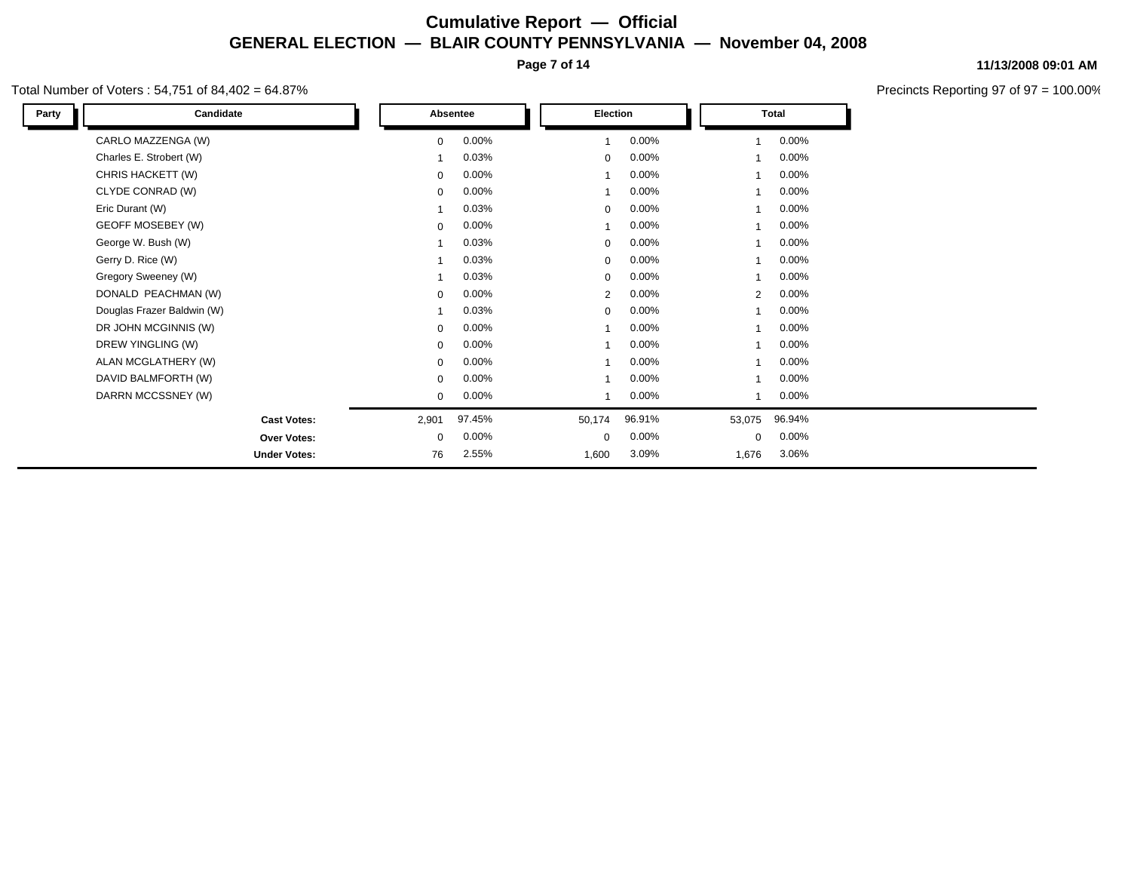**Page 7 of 14**

#### Total Number of Voters : 54,751 of 84,402 = 64.87%

Ļ

| Party | Candidate                  |             | Absentee | Election    |        |  |                      | <b>Total</b> |  |
|-------|----------------------------|-------------|----------|-------------|--------|--|----------------------|--------------|--|
|       | CARLO MAZZENGA (W)         | $\mathbf 0$ | 0.00%    |             | 0.00%  |  | 1                    | $0.00\%$     |  |
|       | Charles E. Strobert (W)    | -1          | 0.03%    | $\mathbf 0$ | 0.00%  |  |                      | 0.00%        |  |
|       | CHRIS HACKETT (W)          | $\mathbf 0$ | 0.00%    |             | 0.00%  |  |                      | $0.00\%$     |  |
|       | CLYDE CONRAD (W)           | $\mathbf 0$ | 0.00%    |             | 0.00%  |  |                      | $0.00\%$     |  |
|       | Eric Durant (W)            |             | 0.03%    | $\mathbf 0$ | 0.00%  |  |                      | $0.00\%$     |  |
|       | GEOFF MOSEBEY (W)          | $\mathbf 0$ | 0.00%    |             | 0.00%  |  |                      | $0.00\%$     |  |
|       | George W. Bush (W)         | -1          | 0.03%    | $\mathbf 0$ | 0.00%  |  |                      | $0.00\%$     |  |
|       | Gerry D. Rice (W)          |             | 0.03%    | $\mathbf 0$ | 0.00%  |  |                      | $0.00\%$     |  |
|       | Gregory Sweeney (W)        |             | 0.03%    | $\mathbf 0$ | 0.00%  |  | 1                    | $0.00\%$     |  |
|       | DONALD PEACHMAN (W)        | $\mathbf 0$ | 0.00%    | 2           | 0.00%  |  | $\mathbf{2}^{\circ}$ | $0.00\%$     |  |
|       | Douglas Frazer Baldwin (W) | -1          | 0.03%    | $\mathbf 0$ | 0.00%  |  | 1                    | $0.00\%$     |  |
|       | DR JOHN MCGINNIS (W)       | $\mathbf 0$ | 0.00%    |             | 0.00%  |  |                      | $0.00\%$     |  |
|       | DREW YINGLING (W)          | $\mathbf 0$ | 0.00%    |             | 0.00%  |  |                      | $0.00\%$     |  |
|       | ALAN MCGLATHERY (W)        | $\mathbf 0$ | 0.00%    |             | 0.00%  |  |                      | $0.00\%$     |  |
|       | DAVID BALMFORTH (W)        | 0           | 0.00%    |             | 0.00%  |  |                      | $0.00\%$     |  |
|       | DARRN MCCSSNEY (W)         | $\mathbf 0$ | $0.00\%$ |             | 0.00%  |  | 1                    | $0.00\%$     |  |
|       | <b>Cast Votes:</b>         | 2,901       | 97.45%   | 50,174      | 96.91% |  | 53,075               | 96.94%       |  |
|       | <b>Over Votes:</b>         | $\mathbf 0$ | 0.00%    | 0           | 0.00%  |  | 0                    | $0.00\%$     |  |
|       | <b>Under Votes:</b>        | 76          | 2.55%    | 1,600       | 3.09%  |  | 1,676                | 3.06%        |  |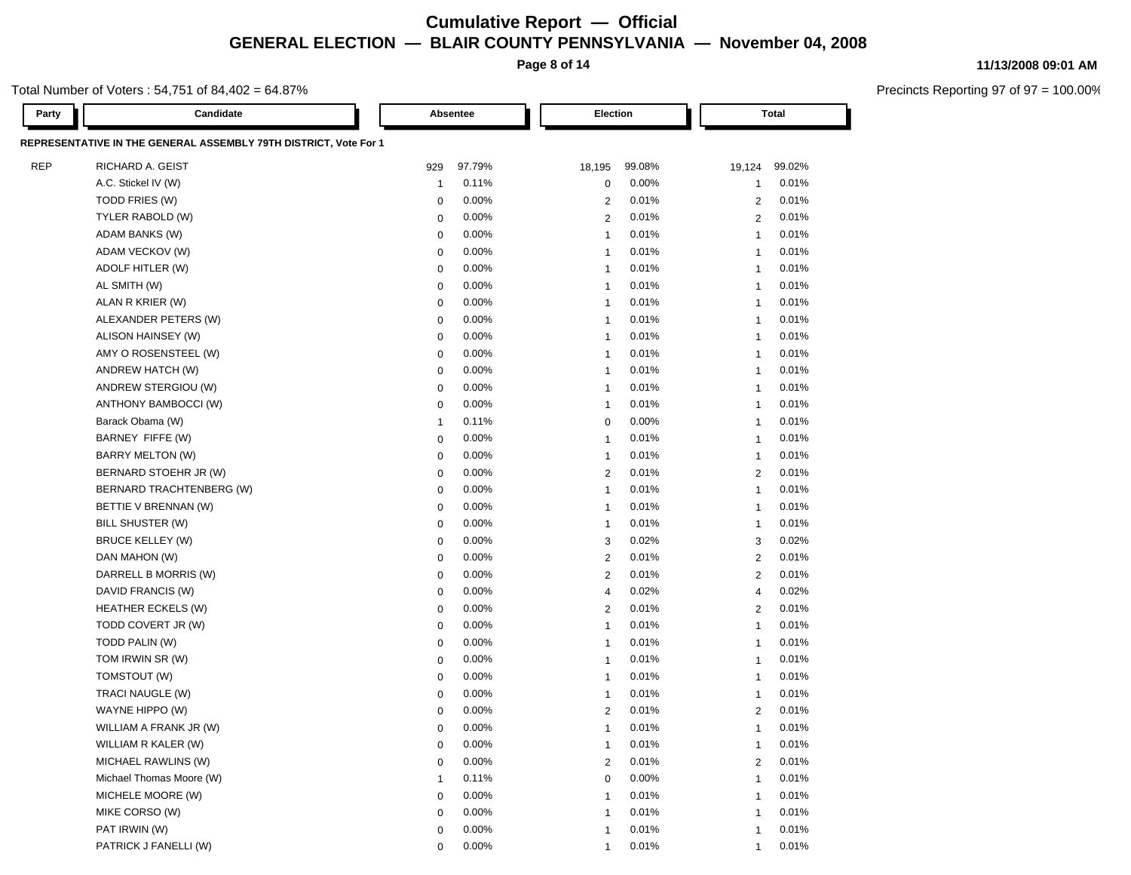**Page 8 of 14**

#### **11/13/2008 09:01 AM**

Total Number of Voters : 54,751 of 84,402 = 64.87%

| Party      | Candidate                                                        | Absentee       |        |                | Election |                | Total  |  |
|------------|------------------------------------------------------------------|----------------|--------|----------------|----------|----------------|--------|--|
|            | REPRESENTATIVE IN THE GENERAL ASSEMBLY 79TH DISTRICT, Vote For 1 |                |        |                |          |                |        |  |
| <b>REP</b> | RICHARD A. GEIST                                                 | 929            | 97.79% | 18,195         | 99.08%   | 19,124         | 99.02% |  |
|            | A.C. Stickel IV (W)                                              | $\overline{1}$ | 0.11%  | 0              | 0.00%    | $\overline{1}$ | 0.01%  |  |
|            | TODD FRIES (W)                                                   | 0              | 0.00%  | $\overline{2}$ | 0.01%    | 2              | 0.01%  |  |
|            | TYLER RABOLD (W)                                                 | 0              | 0.00%  | $\overline{2}$ | 0.01%    | 2              | 0.01%  |  |
|            | ADAM BANKS (W)                                                   | 0              | 0.00%  | $\mathbf{1}$   | 0.01%    | $\overline{1}$ | 0.01%  |  |
|            | ADAM VECKOV (W)                                                  | 0              | 0.00%  | $\mathbf 1$    | 0.01%    | -1             | 0.01%  |  |
|            | ADOLF HITLER (W)                                                 | 0              | 0.00%  | $\mathbf 1$    | 0.01%    | -1             | 0.01%  |  |
|            | AL SMITH (W)                                                     | 0              | 0.00%  | -1             | 0.01%    | -1             | 0.01%  |  |
|            | ALAN R KRIER (W)                                                 | 0              | 0.00%  | $\mathbf 1$    | 0.01%    | $\overline{1}$ | 0.01%  |  |
|            | ALEXANDER PETERS (W)                                             | 0              | 0.00%  | -1             | 0.01%    | -1             | 0.01%  |  |
|            | ALISON HAINSEY (W)                                               | 0              | 0.00%  | -1             | 0.01%    | -1             | 0.01%  |  |
|            | AMY O ROSENSTEEL (W)                                             | 0              | 0.00%  | -1             | 0.01%    | -1             | 0.01%  |  |
|            | ANDREW HATCH (W)                                                 | 0              | 0.00%  | -1             | 0.01%    | -1             | 0.01%  |  |
|            | ANDREW STERGIOU (W)                                              | $\mathbf 0$    | 0.00%  | -1             | 0.01%    | -1             | 0.01%  |  |
|            | ANTHONY BAMBOCCI (W)                                             | 0              | 0.00%  | -1             | 0.01%    | -1             | 0.01%  |  |
|            | Barack Obama (W)                                                 | $\overline{1}$ | 0.11%  | $\mathbf 0$    | $0.00\%$ | $\overline{1}$ | 0.01%  |  |
|            | BARNEY FIFFE (W)                                                 | $\mathbf 0$    | 0.00%  | 1              | 0.01%    | $\overline{1}$ | 0.01%  |  |
|            | BARRY MELTON (W)                                                 | 0              | 0.00%  | $\mathbf{1}$   | 0.01%    | $\overline{1}$ | 0.01%  |  |
|            | BERNARD STOEHR JR (W)                                            | 0              | 0.00%  | 2              | 0.01%    | 2              | 0.01%  |  |
|            | BERNARD TRACHTENBERG (W)                                         | 0              | 0.00%  | 1              | 0.01%    | $\overline{1}$ | 0.01%  |  |
|            | BETTIE V BRENNAN (W)                                             | 0              | 0.00%  | -1             | 0.01%    | -1             | 0.01%  |  |
|            | BILL SHUSTER (W)                                                 | 0              | 0.00%  | -1             | 0.01%    | -1             | 0.01%  |  |
|            | <b>BRUCE KELLEY (W)</b>                                          | 0              | 0.00%  | 3              | 0.02%    | 3              | 0.02%  |  |
|            | DAN MAHON (W)                                                    | 0              | 0.00%  | 2              | 0.01%    | $\overline{c}$ | 0.01%  |  |
|            | DARRELL B MORRIS (W)                                             | 0              | 0.00%  | $\overline{2}$ | 0.01%    | $\overline{c}$ | 0.01%  |  |
|            | DAVID FRANCIS (W)                                                | 0              | 0.00%  | 4              | 0.02%    | 4              | 0.02%  |  |
|            | <b>HEATHER ECKELS (W)</b>                                        | 0              | 0.00%  | 2              | 0.01%    | 2              | 0.01%  |  |
|            | TODD COVERT JR (W)                                               | 0              | 0.00%  | -1             | 0.01%    | $\overline{1}$ | 0.01%  |  |
|            | TODD PALIN (W)                                                   | 0              | 0.00%  | -1             | 0.01%    | -1             | 0.01%  |  |
|            | TOM IRWIN SR (W)                                                 | 0              | 0.00%  | -1             | 0.01%    | -1             | 0.01%  |  |
|            | TOMSTOUT (W)                                                     | 0              | 0.00%  | -1             | 0.01%    | -1             | 0.01%  |  |
|            | TRACI NAUGLE (W)                                                 | 0              | 0.00%  | -1             | 0.01%    | -1             | 0.01%  |  |
|            | WAYNE HIPPO (W)                                                  | 0              | 0.00%  | 2              | 0.01%    | 2              | 0.01%  |  |
|            | WILLIAM A FRANK JR (W)                                           | 0              | 0.00%  | $\mathbf{1}$   | 0.01%    | 1              | 0.01%  |  |
|            | WILLIAM R KALER (W)                                              |                | 0.00%  |                | 0.01%    |                | 0.01%  |  |
|            | MICHAEL RAWLINS (W)                                              | $\mathbf 0$    | 0.00%  | 2              | 0.01%    | 2              | 0.01%  |  |
|            | Michael Thomas Moore (W)                                         | -1             | 0.11%  | 0              | 0.00%    | 1              | 0.01%  |  |
|            | MICHELE MOORE (W)                                                | 0              | 0.00%  | 1              | 0.01%    | -1             | 0.01%  |  |
|            | MIKE CORSO (W)                                                   | 0              | 0.00%  | 1              | 0.01%    | 1              | 0.01%  |  |
|            | PAT IRWIN (W)                                                    | 0              | 0.00%  | 1              | 0.01%    | 1              | 0.01%  |  |
|            | PATRICK J FANELLI (W)                                            | 0              | 0.00%  | 1              | 0.01%    | $\overline{1}$ | 0.01%  |  |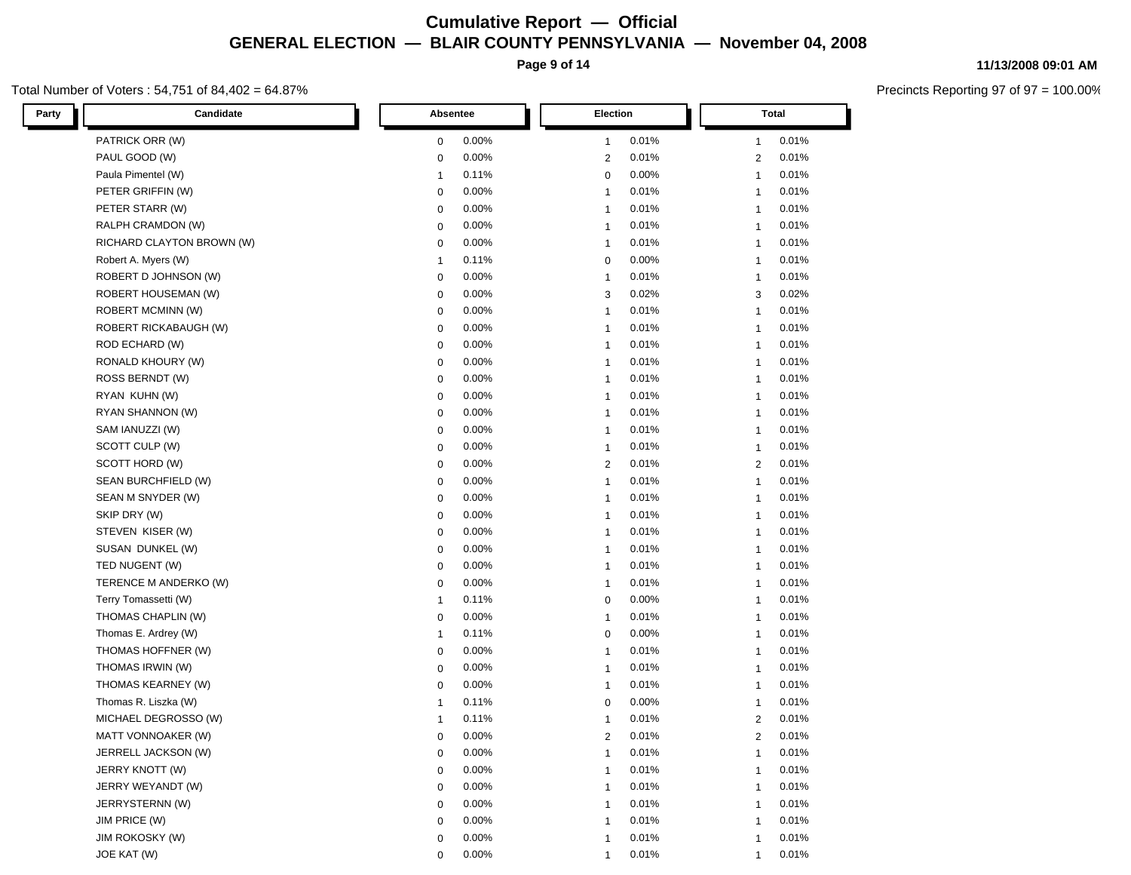**Page 9 of 14**

#### Total Number of Voters : 54,751 of 84,402 = 64.87%

**11/13/2008 09:01 AM**

| Candidate<br>Party         | Absentee             | Election                | Total                   |  |  |
|----------------------------|----------------------|-------------------------|-------------------------|--|--|
| PATRICK ORR (W)            | 0.00%                | 0.01%                   | 0.01%                   |  |  |
|                            | 0                    | $\mathbf{1}$            | $\mathbf{1}$            |  |  |
| PAUL GOOD (W)              | 0.00%                | 0.01%                   | 0.01%                   |  |  |
|                            | 0                    | $\overline{2}$          | $\overline{2}$          |  |  |
| Paula Pimentel (W)         | 0.11%                | 0.00%                   | 0.01%                   |  |  |
|                            | $\mathbf{1}$         | 0                       | $\mathbf{1}$            |  |  |
| PETER GRIFFIN (W)          | 0.00%                | 0.01%                   | 0.01%                   |  |  |
|                            | 0                    | $\mathbf{1}$            | $\mathbf{1}$            |  |  |
| PETER STARR (W)            | 0.00%                | 0.01%                   | 0.01%                   |  |  |
|                            | 0                    | $\mathbf{1}$            | $\mathbf{1}$            |  |  |
| RALPH CRAMDON (W)          | 0.00%                | 0.01%                   | 0.01%                   |  |  |
|                            | 0                    | $\mathbf{1}$            | $\mathbf{1}$            |  |  |
| RICHARD CLAYTON BROWN (W)  | 0.00%                | 0.01%                   | 0.01%                   |  |  |
|                            | 0                    | $\mathbf{1}$            | $\mathbf{1}$            |  |  |
| Robert A. Myers (W)        | 0.11%                | 0.00%                   | 0.01%                   |  |  |
|                            | $\mathbf{1}$         | $\mathbf 0$             | $\mathbf{1}$            |  |  |
| ROBERT D JOHNSON (W)       | 0.00%                | 0.01%                   | 0.01%                   |  |  |
|                            | $\mathbf 0$          | $\mathbf{1}$            | $\mathbf{1}$            |  |  |
| <b>ROBERT HOUSEMAN (W)</b> | 0.00%                | 3                       | 3                       |  |  |
|                            | 0                    | 0.02%                   | 0.02%                   |  |  |
| ROBERT MCMINN (W)          | 0.00%                | 0.01%                   | 0.01%                   |  |  |
|                            | 0                    | $\mathbf{1}$            | $\mathbf{1}$            |  |  |
| ROBERT RICKABAUGH (W)      | $0.00\%$             | 0.01%                   | 0.01%                   |  |  |
|                            | 0                    | $\mathbf{1}$            | $\mathbf{1}$            |  |  |
| ROD ECHARD (W)             | 0.00%                | 0.01%                   | 0.01%                   |  |  |
|                            | $\mathbf 0$          | $\mathbf{1}$            | $\mathbf{1}$            |  |  |
| RONALD KHOURY (W)          | 0.00%                | 0.01%                   | 0.01%                   |  |  |
|                            | 0                    | $\mathbf{1}$            | $\mathbf{1}$            |  |  |
| ROSS BERNDT (W)            | 0.00%                | 0.01%                   | 0.01%                   |  |  |
|                            | 0                    | $\mathbf{1}$            | -1                      |  |  |
| RYAN KUHN (W)              | 0.00%                | 0.01%                   | 0.01%                   |  |  |
|                            | $\mathbf 0$          | $\mathbf{1}$            | -1                      |  |  |
| RYAN SHANNON (W)           | 0.00%                | 0.01%                   | 0.01%                   |  |  |
|                            | $\mathbf 0$          | $\mathbf{1}$            | -1                      |  |  |
| SAM IANUZZI (W)            | 0.00%                | 0.01%                   | 0.01%                   |  |  |
|                            | $\mathbf 0$          | $\mathbf{1}$            | -1                      |  |  |
| SCOTT CULP (W)             | 0.00%                | 0.01%                   | 0.01%                   |  |  |
|                            | $\mathbf 0$          | $\mathbf{1}$            | -1                      |  |  |
| SCOTT HORD (W)             | 0.00%                | 0.01%                   | 0.01%                   |  |  |
|                            | $\mathbf 0$          | $\overline{2}$          | $\overline{2}$          |  |  |
| SEAN BURCHFIELD (W)        | 0.00%                | $\mathbf{1}$            | 0.01%                   |  |  |
|                            | $\mathbf 0$          | 0.01%                   | $\mathbf{1}$            |  |  |
| SEAN M SNYDER (W)          | 0.00%                | 0.01%                   | 0.01%                   |  |  |
|                            | $\mathbf 0$          | $\mathbf{1}$            | $\mathbf{1}$            |  |  |
| SKIP DRY (W)               | $0.00\%$             | 0.01%                   | 0.01%                   |  |  |
|                            | $\mathbf 0$          | $\mathbf{1}$            | $\mathbf{1}$            |  |  |
| STEVEN KISER (W)           | $0.00\%$             | 0.01%                   | 0.01%                   |  |  |
|                            | $\mathbf 0$          | $\mathbf{1}$            | $\mathbf{1}$            |  |  |
| SUSAN DUNKEL (W)           | $\mathbf 0$          | 0.01%                   | 0.01%                   |  |  |
|                            | $0.00\%$             | $\mathbf{1}$            | $\mathbf{1}$            |  |  |
| TED NUGENT (W)             | $\mathbf 0$          | 0.01%                   | 0.01%                   |  |  |
|                            | $0.00\%$             | $\mathbf{1}$            | $\mathbf{1}$            |  |  |
| TERENCE M ANDERKO (W)      | 0.00%                | 0.01%                   | 0.01%                   |  |  |
|                            | $\mathbf 0$          | $\mathbf{1}$            | $\mathbf{1}$            |  |  |
| Terry Tomassetti (W)       | 0.11%                | 0.00%                   | 0.01%                   |  |  |
|                            | $\mathbf{1}$         | 0                       | $\mathbf{1}$            |  |  |
| THOMAS CHAPLIN (W)         | 0.00%                | 0.01%                   | 0.01%                   |  |  |
|                            | 0                    | $\mathbf{1}$            | $\mathbf{1}$            |  |  |
| Thomas E. Ardrey (W)       | 0.11%                | 0.00%                   | 0.01%                   |  |  |
|                            | $\mathbf{1}$         | 0                       | $\mathbf{1}$            |  |  |
| THOMAS HOFFNER (W)         | 0.00%                | 0.01%                   | 0.01%                   |  |  |
|                            | $\mathbf 0$          | $\mathbf{1}$            | $\mathbf{1}$            |  |  |
| THOMAS IRWIN (W)           | 0.00%                | 0.01%                   | 0.01%                   |  |  |
|                            | $\mathbf 0$          | $\mathbf{1}$            | $\mathbf{1}$            |  |  |
| THOMAS KEARNEY (W)         | 0.00%                | 0.01%                   | 0.01%                   |  |  |
|                            | $\mathbf 0$          | $\mathbf{1}$            | $\mathbf{1}$            |  |  |
| Thomas R. Liszka (W)       | 0.11%                | 0.00%                   | 0.01%                   |  |  |
|                            | -1                   | $\mathbf 0$             | $\mathbf{1}$            |  |  |
| MICHAEL DEGROSSO (W)       | 0.11%                | 0.01%                   | 0.01%                   |  |  |
|                            | -1                   | $\overline{\mathbf{1}}$ | $\overline{2}$          |  |  |
| MATT VONNOAKER (W)         | 0.00%                | 0.01%                   | 0.01%                   |  |  |
|                            | $\mathbf 0$          | $\overline{2}$          | $\overline{2}$          |  |  |
| JERRELL JACKSON (W)        | 0.00%                | 0.01%                   | 0.01%                   |  |  |
|                            | $\mathbf 0$          | $\mathbf{1}$            | $\mathbf{1}$            |  |  |
| JERRY KNOTT (W)            | 0.00%<br>$\mathbf 0$ | 0.01%                   | 0.01%<br>$\overline{1}$ |  |  |
| JERRY WEYANDT (W)          | 0.00%                | 0.01%                   | 0.01%                   |  |  |
|                            | $\mathbf 0$          | $\overline{\mathbf{1}}$ | $\mathbf{1}$            |  |  |
| JERRYSTERNN (W)            | 0.00%                | 0.01%                   | 0.01%                   |  |  |
|                            | $\mathbf 0$          | $\overline{\mathbf{1}}$ | -1                      |  |  |
| JIM PRICE (W)              | 0.00%                | 0.01%                   | 0.01%                   |  |  |
|                            | $\mathbf 0$          | $\overline{1}$          | -1                      |  |  |
| <b>JIM ROKOSKY (W)</b>     | 0.00%                | 0.01%                   | 0.01%                   |  |  |
|                            | $\mathbf 0$          | $\overline{1}$          | $\mathbf{1}$            |  |  |
| JOE KAT (W)                | 0.00%                | 0.01%                   | 0.01%                   |  |  |
|                            | $\mathbf 0$          | $\mathbf{1}$            | $\mathbf{1}$            |  |  |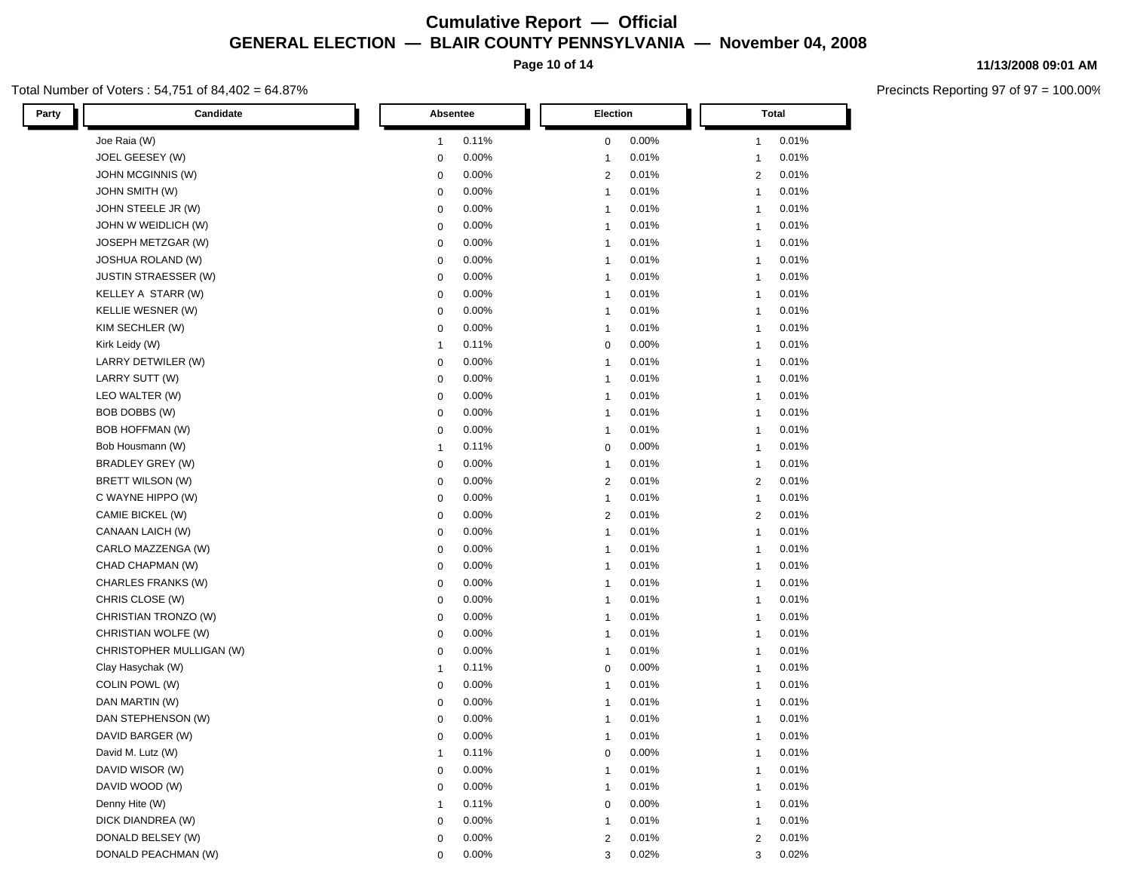**Page 10 of 14**

#### Total Number of Voters : 54,751 of 84,402 = 64.87%

**11/13/2008 09:01 AM**

| Candidate<br>Party          | Absentee             | Election                | Total                   |
|-----------------------------|----------------------|-------------------------|-------------------------|
| Joe Raia (W)                | 0.11%                | 0.00%                   | 0.01%                   |
|                             | $\mathbf{1}$         | 0                       | $\mathbf{1}$            |
| JOEL GEESEY (W)             | 0.00%                | 0.01%                   | 0.01%                   |
|                             | $\mathbf 0$          | $\mathbf{1}$            | $\mathbf{1}$            |
| JOHN MCGINNIS (W)           | 0.00%                | $\overline{2}$          | 0.01%                   |
|                             | 0                    | 0.01%                   | $\overline{2}$          |
| <b>JOHN SMITH (W)</b>       | 0.00%                | 0.01%                   | 0.01%                   |
|                             | 0                    | $\mathbf{1}$            | $\mathbf{1}$            |
| JOHN STEELE JR (W)          | 0.00%                | 0.01%                   | 0.01%                   |
|                             | 0                    | $\mathbf{1}$            | $\mathbf{1}$            |
| JOHN W WEIDLICH (W)         | 0.00%                | 0.01%                   | 0.01%                   |
|                             | 0                    | $\mathbf{1}$            | $\mathbf{1}$            |
| JOSEPH METZGAR (W)          | 0.00%                | 0.01%                   | 0.01%                   |
|                             | 0                    | $\mathbf{1}$            | $\mathbf{1}$            |
| <b>JOSHUA ROLAND (W)</b>    | 0.00%                | 0.01%                   | 0.01%                   |
|                             | 0                    | $\mathbf{1}$            | $\mathbf{1}$            |
| <b>JUSTIN STRAESSER (W)</b> | 0.00%                | 0.01%                   | 0.01%                   |
|                             | $\mathbf 0$          | $\mathbf{1}$            | $\mathbf{1}$            |
| KELLEY A STARR (W)          | 0.00%                | 0.01%                   | 0.01%                   |
|                             | 0                    | $\mathbf{1}$            | $\mathbf{1}$            |
| KELLIE WESNER (W)           | 0.00%                | 0.01%                   | 0.01%                   |
|                             | 0                    | $\mathbf{1}$            | $\mathbf{1}$            |
| KIM SECHLER (W)             | 0.00%                | 0.01%                   | 0.01%                   |
|                             | $\mathbf 0$          | $\mathbf{1}$            | $\mathbf{1}$            |
| Kirk Leidy (W)              | 0.11%                | 0.00%                   | 0.01%                   |
|                             | $\mathbf{1}$         | $\mathbf 0$             | $\mathbf{1}$            |
| LARRY DETWILER (W)          | 0.00%                | 0.01%                   | 0.01%                   |
|                             | 0                    | $\mathbf{1}$            | $\mathbf{1}$            |
| LARRY SUTT (W)              | 0.00%                | 0.01%                   | 0.01%                   |
|                             | 0                    | $\mathbf{1}$            | $\mathbf{1}$            |
| LEO WALTER (W)              | 0.00%                | 0.01%                   | 0.01%                   |
|                             | $\mathbf 0$          | $\mathbf{1}$            | $\mathbf{1}$            |
| BOB DOBBS (W)               | 0.00%                | 0.01%                   | 0.01%                   |
|                             | 0                    | $\mathbf{1}$            | $\mathbf{1}$            |
| <b>BOB HOFFMAN (W)</b>      | 0.00%                | 0.01%                   | 0.01%                   |
|                             | 0                    | $\mathbf{1}$            | -1                      |
| Bob Housmann (W)            | 0.11%                | 0.00%                   | 0.01%                   |
|                             | $\mathbf{1}$         | 0                       | -1                      |
| BRADLEY GREY (W)            | 0.00%                | 0.01%                   | 0.01%                   |
|                             | $\mathbf 0$          | $\mathbf{1}$            | -1                      |
| BRETT WILSON (W)            | 0.00%                | 0.01%                   | 0.01%                   |
|                             | $\mathbf 0$          | $\overline{2}$          | $\overline{2}$          |
| C WAYNE HIPPO (W)           | 0.00%                | 0.01%                   | 0.01%                   |
|                             | $\mathbf 0$          | $\mathbf{1}$            | -1                      |
| CAMIE BICKEL (W)            | 0.00%                | 0.01%                   | 0.01%                   |
|                             | $\mathbf 0$          | $\overline{2}$          | $\overline{2}$          |
| CANAAN LAICH (W)            | 0.00%                | 0.01%                   | 0.01%                   |
|                             | $\mathbf 0$          | $\mathbf{1}$            | -1                      |
| CARLO MAZZENGA (W)          | 0.00%                | 0.01%                   | 0.01%                   |
|                             | $\mathbf 0$          | $\mathbf{1}$            | $\mathbf{1}$            |
| CHAD CHAPMAN (W)            | 0.00%                | 0.01%                   | 0.01%                   |
|                             | $\mathbf 0$          | $\mathbf{1}$            | $\mathbf{1}$            |
| CHARLES FRANKS (W)          | 0.00%                | 0.01%                   | 0.01%                   |
|                             | $\mathbf 0$          | $\mathbf{1}$            | $\mathbf{1}$            |
| CHRIS CLOSE (W)             | $0.00\%$             | 0.01%                   | 0.01%                   |
|                             | $\mathbf 0$          | $\mathbf{1}$            | $\mathbf{1}$            |
| CHRISTIAN TRONZO (W)        | 0.00%                | 0.01%                   | 0.01%                   |
|                             | $\mathbf 0$          | $\mathbf{1}$            | $\mathbf{1}$            |
| CHRISTIAN WOLFE (W)         | 0.00%                | 0.01%                   | 0.01%                   |
|                             | $\mathbf 0$          | $\mathbf{1}$            | $\mathbf{1}$            |
| CHRISTOPHER MULLIGAN (W)    | 0.00%                | 0.01%                   | 0.01%                   |
|                             | $\mathbf 0$          | $\mathbf{1}$            | $\mathbf{1}$            |
| Clay Hasychak (W)           | 0.11%                | 0.00%                   | 0.01%                   |
|                             | $\mathbf{1}$         | 0                       | $\mathbf{1}$            |
| COLIN POWL (W)              | 0.00%                | 0.01%                   | 0.01%                   |
|                             | 0                    | $\mathbf{1}$            | $\mathbf{1}$            |
| DAN MARTIN (W)              | 0.00%                | 0.01%                   | 0.01%                   |
|                             | 0                    | $\mathbf{1}$            | $\mathbf{1}$            |
| DAN STEPHENSON (W)          | 0.00%                | 0.01%                   | 0.01%                   |
|                             | 0                    | $\mathbf{1}$            | $\mathbf{1}$            |
| DAVID BARGER (W)            | 0.00%                | 0.01%                   | 0.01%                   |
|                             | $\mathbf 0$          | $\mathbf{1}$            | $\mathbf{1}$            |
| David M. Lutz (W)           | 0.11%                | 0.00%                   | 0.01%                   |
|                             | $\mathbf{1}$         | $\pmb{0}$               | $\mathbf{1}$            |
| DAVID WISOR (W)             | 0.00%<br>$\mathbf 0$ | 0.01%                   | 0.01%<br>$\overline{1}$ |
| DAVID WOOD (W)              | 0.00%                | 0.01%                   | 0.01%                   |
|                             | $\mathbf 0$          | $\overline{\mathbf{1}}$ | $\mathbf{1}$            |
| Denny Hite (W)              | 0.11%                | 0.00%                   | 0.01%                   |
|                             | $\mathbf{1}$         | $\Omega$                | $\mathbf{1}$            |
| DICK DIANDREA (W)           | 0.00%                | 0.01%                   | 0.01%                   |
|                             | $\mathbf 0$          | $\overline{1}$          | $\mathbf{1}$            |
| DONALD BELSEY (W)           | 0.00%                | 0.01%                   | 0.01%                   |
|                             | $\mathbf 0$          | $\overline{2}$          | $\overline{2}$          |
| DONALD PEACHMAN (W)         | 0.00%                | 0.02%                   | 0.02%                   |
|                             | $\mathbf 0$          | 3                       | 3                       |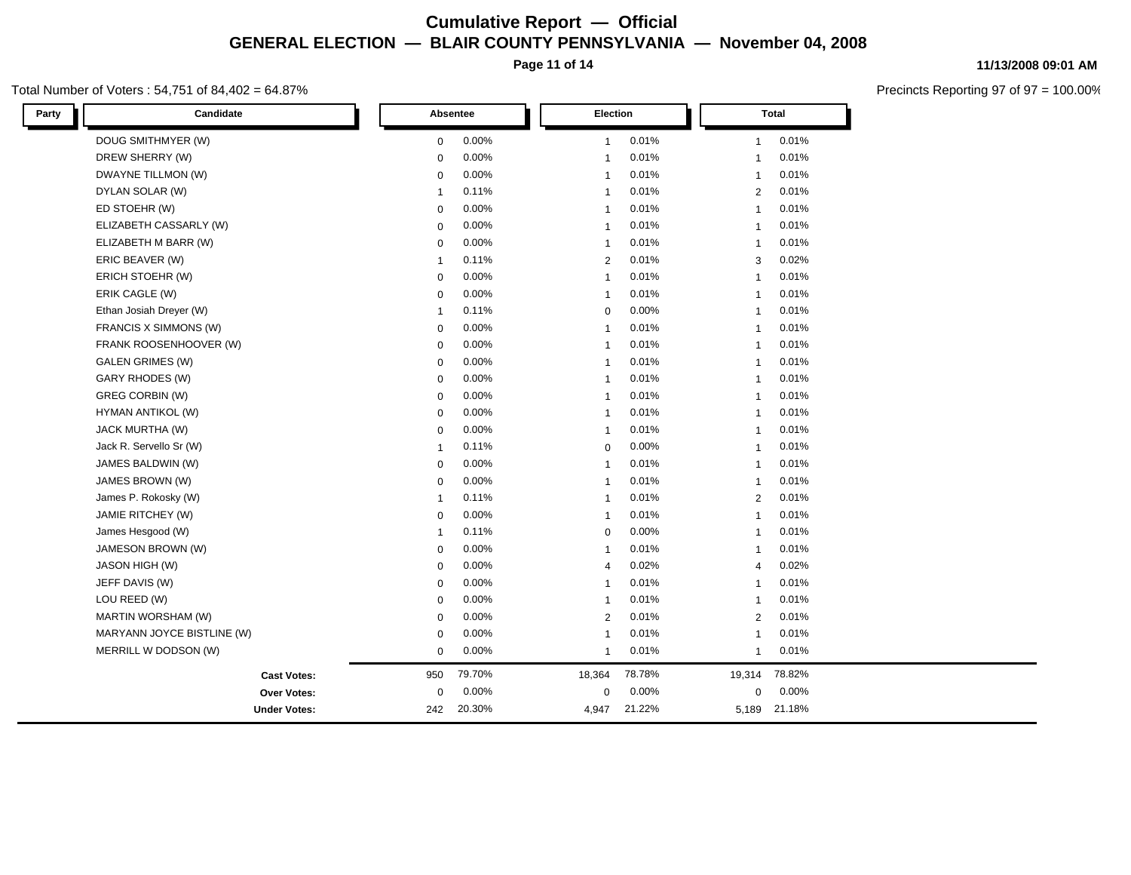**Page 11 of 14**

#### Total Number of Voters : 54,751 of 84,402 = 64.87%

| Candidate<br>Party         |              | Absentee |                          | Election | <b>Total</b> |        |  |
|----------------------------|--------------|----------|--------------------------|----------|--------------|--------|--|
| DOUG SMITHMYER (W)         | $\mathbf 0$  | 0.00%    | $\mathbf{1}$             | 0.01%    | $\mathbf{1}$ | 0.01%  |  |
| DREW SHERRY (W)            | $\mathbf 0$  | 0.00%    | $\overline{\phantom{a}}$ | 0.01%    | $\mathbf{1}$ | 0.01%  |  |
| DWAYNE TILLMON (W)         | $\mathbf 0$  | 0.00%    | $\overline{\phantom{a}}$ | 0.01%    | $\mathbf{1}$ | 0.01%  |  |
| DYLAN SOLAR (W)            | 1            | 0.11%    | 1                        | 0.01%    | 2            | 0.01%  |  |
| ED STOEHR (W)              | $\mathbf 0$  | 0.00%    | $\overline{\phantom{a}}$ | 0.01%    | $\mathbf{1}$ | 0.01%  |  |
| ELIZABETH CASSARLY (W)     | 0            | 0.00%    | $\overline{\phantom{a}}$ | 0.01%    | $\mathbf{1}$ | 0.01%  |  |
| ELIZABETH M BARR (W)       | 0            | 0.00%    | $\overline{1}$           | 0.01%    | $\mathbf{1}$ | 0.01%  |  |
| ERIC BEAVER (W)            | -1           | 0.11%    | $\overline{2}$           | 0.01%    | 3            | 0.02%  |  |
| ERICH STOEHR (W)           | $\Omega$     | $0.00\%$ | $\overline{1}$           | 0.01%    | $\mathbf{1}$ | 0.01%  |  |
| ERIK CAGLE (W)             | 0            | 0.00%    | $\overline{\phantom{a}}$ | 0.01%    | $\mathbf{1}$ | 0.01%  |  |
| Ethan Josiah Dreyer (W)    | 1            | 0.11%    | $\mathbf 0$              | 0.00%    | $\mathbf{1}$ | 0.01%  |  |
| FRANCIS X SIMMONS (W)      | $\mathbf 0$  | 0.00%    | $\overline{\phantom{a}}$ | 0.01%    | $\mathbf{1}$ | 0.01%  |  |
| FRANK ROOSENHOOVER (W)     | $\mathbf 0$  | $0.00\%$ | $\overline{\phantom{a}}$ | 0.01%    | $\mathbf{1}$ | 0.01%  |  |
| <b>GALEN GRIMES (W)</b>    | $\mathbf 0$  | 0.00%    | $\overline{\phantom{a}}$ | 0.01%    | $\mathbf{1}$ | 0.01%  |  |
| GARY RHODES (W)            | $\mathbf 0$  | 0.00%    | $\overline{\phantom{a}}$ | 0.01%    | $\mathbf{1}$ | 0.01%  |  |
| GREG CORBIN (W)            | $\mathbf 0$  | 0.00%    | $\overline{\phantom{a}}$ | 0.01%    | $\mathbf{1}$ | 0.01%  |  |
| HYMAN ANTIKOL (W)          | $\mathbf 0$  | 0.00%    | -1                       | 0.01%    | $\mathbf{1}$ | 0.01%  |  |
| JACK MURTHA (W)            | $\mathbf 0$  | 0.00%    | $\overline{1}$           | 0.01%    | $\mathbf{1}$ | 0.01%  |  |
| Jack R. Servello Sr (W)    | $\mathbf{1}$ | 0.11%    | $\mathbf 0$              | 0.00%    | $\mathbf{1}$ | 0.01%  |  |
| JAMES BALDWIN (W)          | 0            | 0.00%    | $\overline{1}$           | 0.01%    | $\mathbf{1}$ | 0.01%  |  |
| JAMES BROWN (W)            | $\mathbf 0$  | $0.00\%$ | $\overline{\phantom{a}}$ | 0.01%    | $\mathbf{1}$ | 0.01%  |  |
| James P. Rokosky (W)       | $\mathbf 1$  | 0.11%    | $\overline{\phantom{a}}$ | 0.01%    | 2            | 0.01%  |  |
| JAMIE RITCHEY (W)          | $\mathbf 0$  | 0.00%    | $\overline{\phantom{a}}$ | 0.01%    | $\mathbf{1}$ | 0.01%  |  |
| James Hesgood (W)          | $\mathbf{1}$ | 0.11%    | $\mathbf 0$              | 0.00%    | $\mathbf{1}$ | 0.01%  |  |
| JAMESON BROWN (W)          | $\mathbf 0$  | $0.00\%$ | $\overline{\phantom{a}}$ | 0.01%    | $\mathbf{1}$ | 0.01%  |  |
| <b>JASON HIGH (W)</b>      | $\mathbf 0$  | 0.00%    | $\overline{4}$           | 0.02%    | 4            | 0.02%  |  |
| JEFF DAVIS (W)             | $\mathbf 0$  | $0.00\%$ | $\overline{\phantom{a}}$ | 0.01%    | $\mathbf{1}$ | 0.01%  |  |
| LOU REED (W)               | 0            | 0.00%    | $\overline{\phantom{a}}$ | 0.01%    | $\mathbf{1}$ | 0.01%  |  |
| MARTIN WORSHAM (W)         | 0            | 0.00%    | $\overline{2}$           | 0.01%    | 2            | 0.01%  |  |
| MARYANN JOYCE BISTLINE (W) | 0            | 0.00%    | 1                        | 0.01%    | $\mathbf{1}$ | 0.01%  |  |
| MERRILL W DODSON (W)       | 0            | $0.00\%$ | 1                        | 0.01%    | $\mathbf{1}$ | 0.01%  |  |
| <b>Cast Votes:</b>         | 950          | 79.70%   | 18,364                   | 78.78%   | 19,314       | 78.82% |  |
| Over Votes:                | 0            | 0.00%    | $\mathbf 0$              | 0.00%    | 0            | 0.00%  |  |
| <b>Under Votes:</b>        | 242          | 20.30%   | 4,947                    | 21.22%   | 5,189        | 21.18% |  |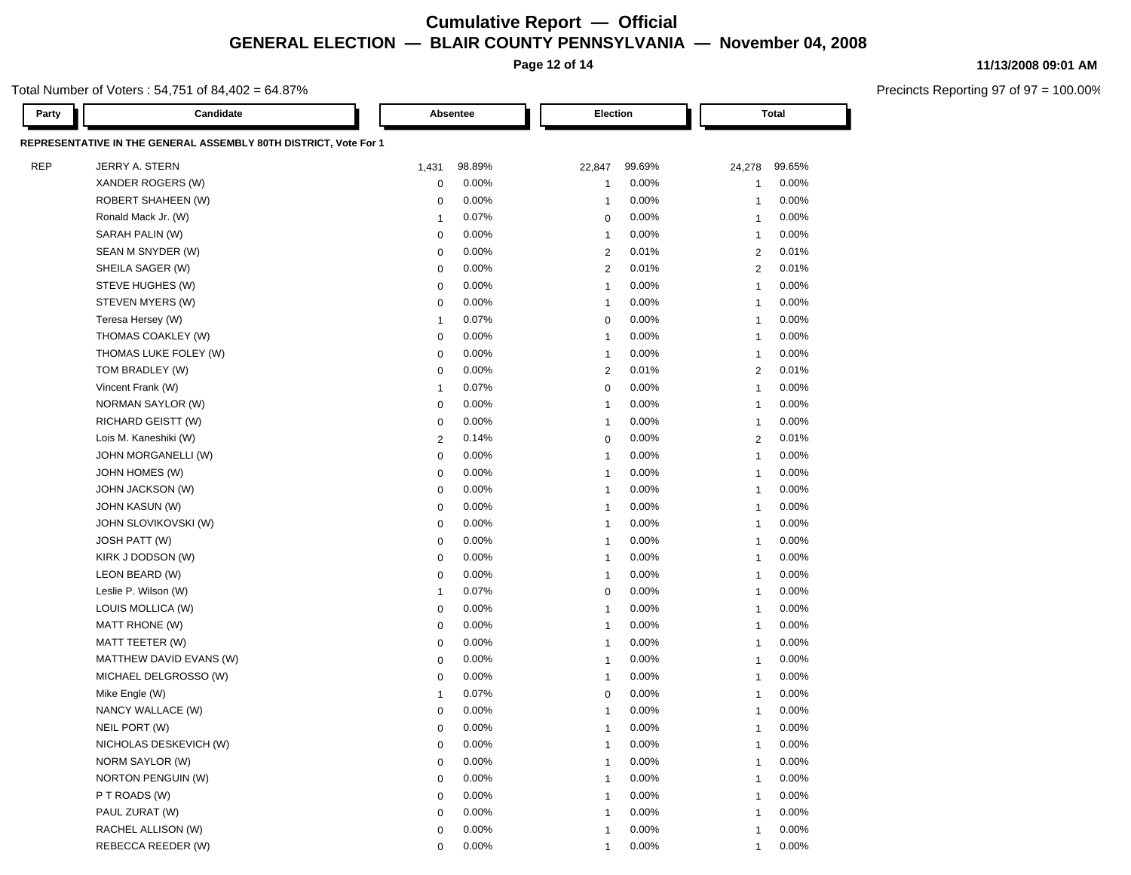**Page 12 of 14**

#### **11/13/2008 09:01 AM**

Precincts Reporting 97 of 97 = 100.00%

Total Number of Voters : 54,751 of 84,402 = 64.87%

| Party      | Candidate                                                        |                         | Absentee |                          | Election | Total          |        |  |
|------------|------------------------------------------------------------------|-------------------------|----------|--------------------------|----------|----------------|--------|--|
|            | REPRESENTATIVE IN THE GENERAL ASSEMBLY 80TH DISTRICT, Vote For 1 |                         |          |                          |          |                |        |  |
| <b>REP</b> | JERRY A. STERN                                                   | 1,431                   | 98.89%   | 22,847                   | 99.69%   | 24,278         | 99.65% |  |
|            | XANDER ROGERS (W)                                                | $\mathbf 0$             | 0.00%    | -1                       | 0.00%    | $\overline{1}$ | 0.00%  |  |
|            | ROBERT SHAHEEN (W)                                               | 0                       | 0.00%    | $\overline{1}$           | 0.00%    | $\mathbf{1}$   | 0.00%  |  |
|            | Ronald Mack Jr. (W)                                              | $\overline{1}$          | 0.07%    | 0                        | 0.00%    | $\overline{1}$ | 0.00%  |  |
|            | SARAH PALIN (W)                                                  | 0                       | 0.00%    | $\overline{1}$           | 0.00%    | $\overline{1}$ | 0.00%  |  |
|            | SEAN M SNYDER (W)                                                | 0                       | 0.00%    | $\overline{c}$           | 0.01%    | $\overline{c}$ | 0.01%  |  |
|            | SHEILA SAGER (W)                                                 | 0                       | 0.00%    | $\overline{2}$           | 0.01%    | 2              | 0.01%  |  |
|            | STEVE HUGHES (W)                                                 | $\mathbf 0$             | 0.00%    | $\overline{1}$           | 0.00%    | $\overline{1}$ | 0.00%  |  |
|            | STEVEN MYERS (W)                                                 | 0                       | 0.00%    | -1                       | 0.00%    | $\overline{1}$ | 0.00%  |  |
|            | Teresa Hersey (W)                                                | -1                      | 0.07%    | 0                        | 0.00%    | $\overline{1}$ | 0.00%  |  |
|            | THOMAS COAKLEY (W)                                               | $\mathbf 0$             | 0.00%    | $\overline{1}$           | 0.00%    | 1              | 0.00%  |  |
|            | THOMAS LUKE FOLEY (W)                                            | $\mathbf 0$             | 0.00%    | $\overline{1}$           | 0.00%    | $\overline{1}$ | 0.00%  |  |
|            | TOM BRADLEY (W)                                                  | $\mathbf 0$             | 0.00%    | $\overline{2}$           | 0.01%    | $\overline{c}$ | 0.01%  |  |
|            | Vincent Frank (W)                                                | $\overline{1}$          | 0.07%    | $\mathbf 0$              | 0.00%    | $\mathbf{1}$   | 0.00%  |  |
|            | NORMAN SAYLOR (W)                                                | $\mathbf 0$             | 0.00%    | $\overline{1}$           | 0.00%    | $\mathbf{1}$   | 0.00%  |  |
|            | RICHARD GEISTT (W)                                               | $\mathbf 0$             | 0.00%    | $\overline{1}$           | 0.00%    | $\mathbf{1}$   | 0.00%  |  |
|            | Lois M. Kaneshiki (W)                                            | $\overline{2}$          | 0.14%    | $\mathbf 0$              | 0.00%    | 2              | 0.01%  |  |
|            | JOHN MORGANELLI (W)                                              | $\mathbf 0$             | 0.00%    | $\overline{1}$           | 0.00%    | $\mathbf{1}$   | 0.00%  |  |
|            | JOHN HOMES (W)                                                   | $\mathbf 0$             | 0.00%    | $\overline{1}$           | 0.00%    | $\mathbf{1}$   | 0.00%  |  |
|            | <b>JOHN JACKSON (W)</b>                                          | $\mathbf 0$             | 0.00%    | $\overline{1}$           | 0.00%    | $\overline{1}$ | 0.00%  |  |
|            | <b>JOHN KASUN (W)</b>                                            | $\mathbf 0$             | 0.00%    | $\overline{1}$           | 0.00%    | $\mathbf{1}$   | 0.00%  |  |
|            | JOHN SLOVIKOVSKI (W)                                             | $\mathbf 0$             | 0.00%    | $\overline{1}$           | 0.00%    | $\overline{1}$ | 0.00%  |  |
|            | JOSH PATT (W)                                                    | $\mathbf 0$             | 0.00%    | $\overline{1}$           | 0.00%    | $\overline{1}$ | 0.00%  |  |
|            | KIRK J DODSON (W)                                                | $\mathbf 0$             | 0.00%    | $\overline{1}$           | 0.00%    | $\overline{1}$ | 0.00%  |  |
|            | LEON BEARD (W)                                                   | $\mathbf 0$             | 0.00%    | $\overline{1}$           | 0.00%    | $\overline{1}$ | 0.00%  |  |
|            | Leslie P. Wilson (W)                                             | $\overline{1}$          | 0.07%    | 0                        | 0.00%    | $\overline{1}$ | 0.00%  |  |
|            | LOUIS MOLLICA (W)                                                | $\mathbf 0$             | 0.00%    | $\overline{1}$           | 0.00%    | $\overline{1}$ | 0.00%  |  |
|            | MATT RHONE (W)                                                   | $\mathbf 0$             | 0.00%    | $\overline{1}$           | 0.00%    | $\overline{1}$ | 0.00%  |  |
|            | MATT TEETER (W)                                                  | $\mathbf 0$             | 0.00%    | $\overline{1}$           | 0.00%    | $\overline{1}$ | 0.00%  |  |
|            | MATTHEW DAVID EVANS (W)                                          | $\mathbf 0$             | 0.00%    | $\overline{1}$           | 0.00%    | $\overline{1}$ | 0.00%  |  |
|            | MICHAEL DELGROSSO (W)                                            | $\mathbf 0$             | 0.00%    | $\overline{1}$           | 0.00%    | $\overline{1}$ | 0.00%  |  |
|            | Mike Engle (W)                                                   | $\overline{\mathbf{1}}$ | 0.07%    | $\mathbf 0$              | 0.00%    | $\overline{1}$ | 0.00%  |  |
|            | NANCY WALLACE (W)                                                | $\mathbf 0$             | 0.00%    | $\overline{\phantom{a}}$ | 0.00%    | 1              | 0.00%  |  |
|            | NEIL PORT (W)                                                    | 0                       | 0.00%    | $\overline{1}$           | 0.00%    | $\mathbf{1}$   | 0.00%  |  |
|            | NICHOLAS DESKEVICH (W)                                           | $\mathbf 0$             | 0.00%    | $\overline{1}$           | 0.00%    | $\mathbf{1}$   | 0.00%  |  |
|            | NORM SAYLOR (W)                                                  | $\mathbf 0$             | 0.00%    | $\overline{\mathbf{1}}$  | 0.00%    | $\overline{1}$ | 0.00%  |  |
|            | NORTON PENGUIN (W)                                               | $\mathbf 0$             | 0.00%    | $\overline{\phantom{a}}$ | 0.00%    | $\overline{1}$ | 0.00%  |  |
|            | P T ROADS (W)                                                    | $\mathbf 0$             | 0.00%    | $\overline{\mathbf{1}}$  | 0.00%    | 1              | 0.00%  |  |
|            | PAUL ZURAT (W)                                                   | $\mathbf 0$             | 0.00%    | $\overline{\phantom{a}}$ | 0.00%    | $\overline{1}$ | 0.00%  |  |
|            | RACHEL ALLISON (W)                                               | $\mathbf 0$             | 0.00%    | $\overline{\phantom{a}}$ | 0.00%    | $\overline{1}$ | 0.00%  |  |
|            | REBECCA REEDER (W)                                               | $\mathbf 0$             | 0.00%    | 1                        | 0.00%    | $\mathbf{1}$   | 0.00%  |  |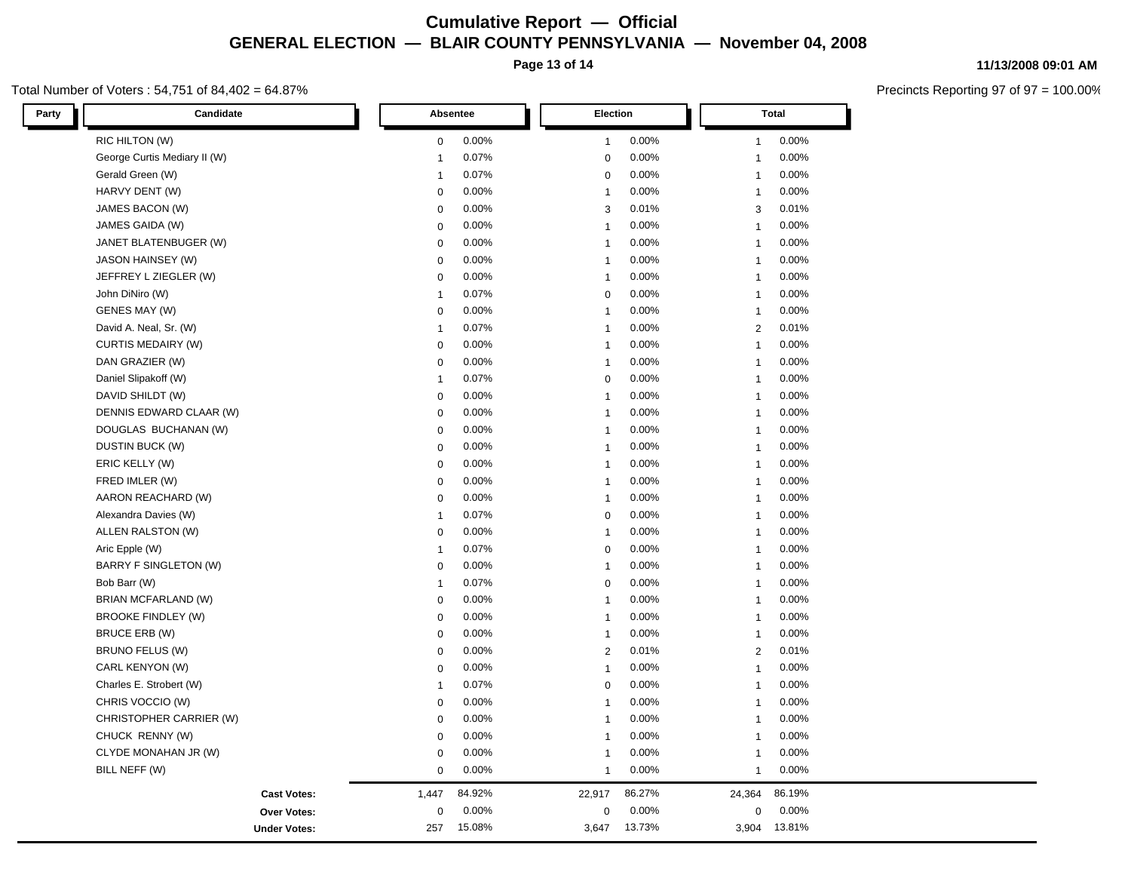**Page 13 of 14**

#### Total Number of Voters : 54,751 of 84,402 = 64.87%

**11/13/2008 09:01 AM**

| Party<br>Candidate           |                | Absentee |                | Election |                | <b>Total</b> |  |
|------------------------------|----------------|----------|----------------|----------|----------------|--------------|--|
| RIC HILTON (W)               | $\mathbf 0$    | 0.00%    | $\mathbf{1}$   | 0.00%    | $\mathbf{1}$   | 0.00%        |  |
| George Curtis Mediary II (W) | $\overline{1}$ | 0.07%    | $\mathbf 0$    | 0.00%    | $\mathbf{1}$   | 0.00%        |  |
| Gerald Green (W)             | $\overline{1}$ | 0.07%    | $\mathbf 0$    | 0.00%    | $\mathbf{1}$   | 0.00%        |  |
| HARVY DENT (W)               | 0              | 0.00%    | $\mathbf{1}$   | 0.00%    | 1              | 0.00%        |  |
| JAMES BACON (W)              | $\mathbf 0$    | 0.00%    | 3              | 0.01%    | 3              | 0.01%        |  |
| JAMES GAIDA (W)              | $\mathbf 0$    | 0.00%    | $\mathbf{1}$   | 0.00%    | 1              | 0.00%        |  |
| JANET BLATENBUGER (W)        | $\mathbf 0$    | 0.00%    | $\mathbf{1}$   | 0.00%    | $\mathbf{1}$   | 0.00%        |  |
| JASON HAINSEY (W)            | $\mathbf 0$    | 0.00%    | $\mathbf{1}$   | 0.00%    | $\mathbf{1}$   | 0.00%        |  |
| JEFFREY L ZIEGLER (W)        | $\mathbf 0$    | 0.00%    | $\mathbf{1}$   | 0.00%    | 1              | 0.00%        |  |
| John DiNiro (W)              | $\overline{1}$ | 0.07%    | $\pmb{0}$      | 0.00%    | $\mathbf{1}$   | 0.00%        |  |
| GENES MAY (W)                | $\mathbf 0$    | 0.00%    | $\mathbf{1}$   | 0.00%    | $\mathbf{1}$   | 0.00%        |  |
| David A. Neal, Sr. (W)       | $\overline{1}$ | 0.07%    | $\mathbf{1}$   | 0.00%    | $\overline{2}$ | 0.01%        |  |
| <b>CURTIS MEDAIRY (W)</b>    | $\mathbf 0$    | 0.00%    | $\mathbf{1}$   | 0.00%    | 1              | 0.00%        |  |
| DAN GRAZIER (W)              | $\mathbf 0$    | 0.00%    | $\mathbf{1}$   | 0.00%    | $\mathbf{1}$   | 0.00%        |  |
| Daniel Slipakoff (W)         | $\overline{1}$ | 0.07%    | $\mathbf 0$    | 0.00%    | 1              | 0.00%        |  |
| DAVID SHILDT (W)             | $\mathsf 0$    | 0.00%    | $\mathbf{1}$   | 0.00%    | 1              | 0.00%        |  |
| DENNIS EDWARD CLAAR (W)      | $\mathbf 0$    | 0.00%    | $\mathbf{1}$   | 0.00%    | $\mathbf{1}$   | 0.00%        |  |
| DOUGLAS BUCHANAN (W)         | $\mathbf 0$    | 0.00%    | $\mathbf{1}$   | 0.00%    | $\mathbf{1}$   | 0.00%        |  |
| DUSTIN BUCK (W)              | 0              | 0.00%    | $\mathbf{1}$   | 0.00%    | $\mathbf{1}$   | 0.00%        |  |
| ERIC KELLY (W)               | $\mathbf 0$    | 0.00%    | $\mathbf{1}$   | 0.00%    | 1              | 0.00%        |  |
| FRED IMLER (W)               | 0              | 0.00%    | $\mathbf{1}$   | 0.00%    | $\mathbf{1}$   | 0.00%        |  |
| AARON REACHARD (W)           | $\mathbf 0$    | 0.00%    | $\mathbf{1}$   | 0.00%    | 1              | 0.00%        |  |
| Alexandra Davies (W)         | $\overline{1}$ | 0.07%    | $\mathbf 0$    | 0.00%    | 1              | 0.00%        |  |
| ALLEN RALSTON (W)            | $\mathbf 0$    | 0.00%    | $\mathbf{1}$   | 0.00%    | 1              | 0.00%        |  |
| Aric Epple (W)               | $\overline{1}$ | 0.07%    | $\mathbf 0$    | 0.00%    | 1              | 0.00%        |  |
| BARRY F SINGLETON (W)        | $\mathbf 0$    | 0.00%    | $\mathbf{1}$   | 0.00%    | 1              | 0.00%        |  |
| Bob Barr (W)                 | $\overline{1}$ | 0.07%    | $\mathbf 0$    | 0.00%    | $\mathbf{1}$   | 0.00%        |  |
| BRIAN MCFARLAND (W)          | $\mathbf 0$    | 0.00%    | $\mathbf{1}$   | 0.00%    | $\mathbf{1}$   | 0.00%        |  |
| <b>BROOKE FINDLEY (W)</b>    | 0              | 0.00%    | $\overline{1}$ | 0.00%    | 1              | 0.00%        |  |
| BRUCE ERB (W)                | 0              | 0.00%    | $\overline{1}$ | 0.00%    | $\mathbf{1}$   | 0.00%        |  |
| BRUNO FELUS (W)              | $\mathbf 0$    | 0.00%    | $\overline{2}$ | 0.01%    | $\overline{2}$ | 0.01%        |  |
| CARL KENYON (W)              | $\mathbf 0$    | 0.00%    | $\mathbf{1}$   | 0.00%    | $\mathbf{1}$   | 0.00%        |  |
| Charles E. Strobert (W)      | $\overline{1}$ | 0.07%    | $\mathbf 0$    | 0.00%    | 1              | 0.00%        |  |
| CHRIS VOCCIO (W)             | $\mathbf 0$    | 0.00%    | $\mathbf{1}$   | 0.00%    | $\mathbf{1}$   | 0.00%        |  |
| CHRISTOPHER CARRIER (W)      | $\mathbf 0$    | 0.00%    | $\overline{1}$ | 0.00%    | $\mathbf{1}$   | 0.00%        |  |
| CHUCK RENNY (W)              | $\mathbf 0$    | 0.00%    | $\mathbf{1}$   | 0.00%    | $\mathbf{1}$   | 0.00%        |  |
| CLYDE MONAHAN JR (W)         | $\mathbf 0$    | 0.00%    | $\mathbf{1}$   | 0.00%    | 1              | 0.00%        |  |
| BILL NEFF (W)                | $\mathbf 0$    | 0.00%    | 1              | 0.00%    | $\mathbf{1}$   | 0.00%        |  |
| <b>Cast Votes:</b>           | 1,447          | 84.92%   | 22,917         | 86.27%   | 24,364         | 86.19%       |  |
| Over Votes:                  | 0              | 0.00%    | 0              | 0.00%    | 0              | 0.00%        |  |
| <b>Under Votes:</b>          | 257            | 15.08%   | 3,647          | 13.73%   | 3,904          | 13.81%       |  |